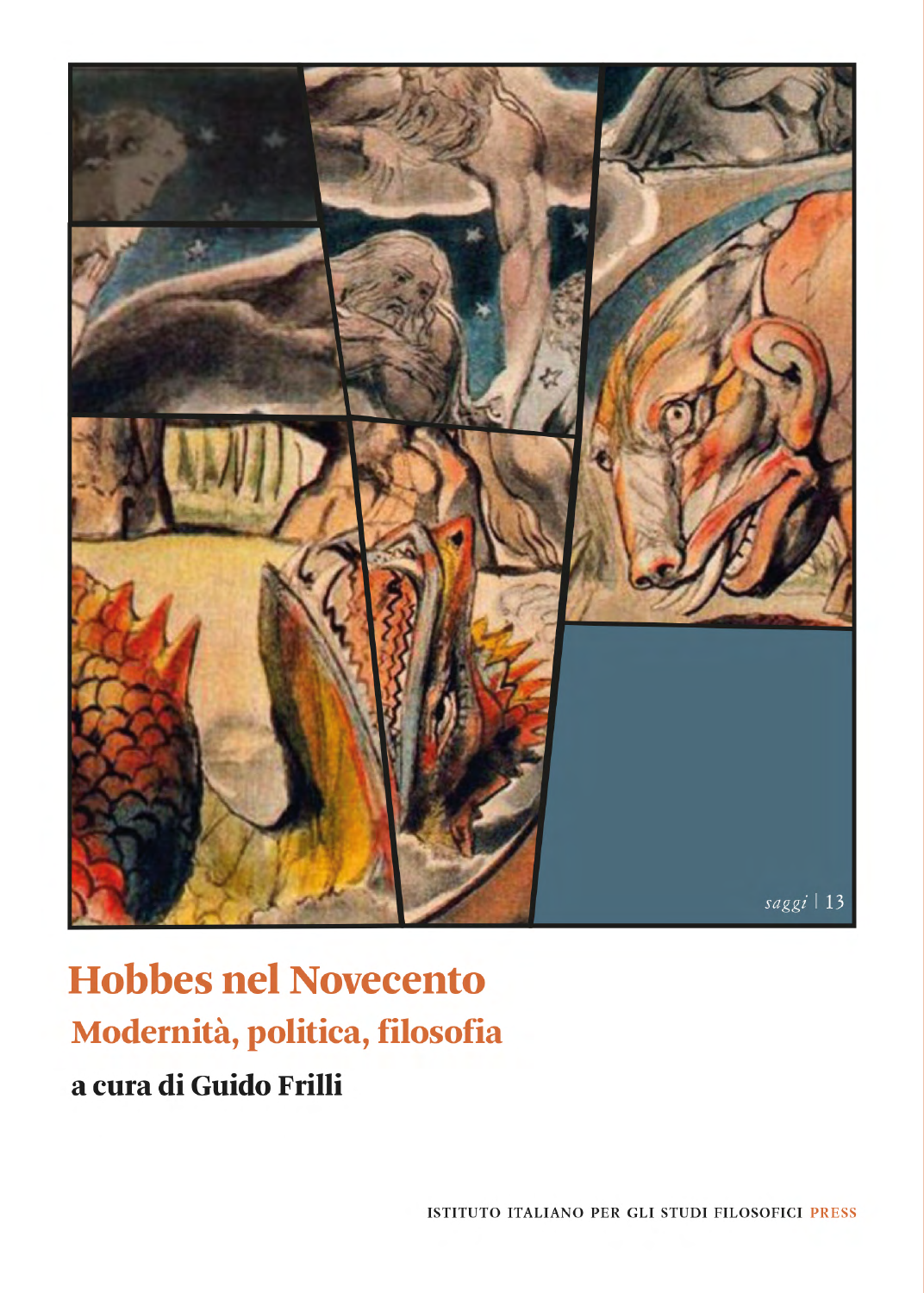

# **Hobbes nel Novecento** Modernità, politica, filosofia a cura di Guido Frilli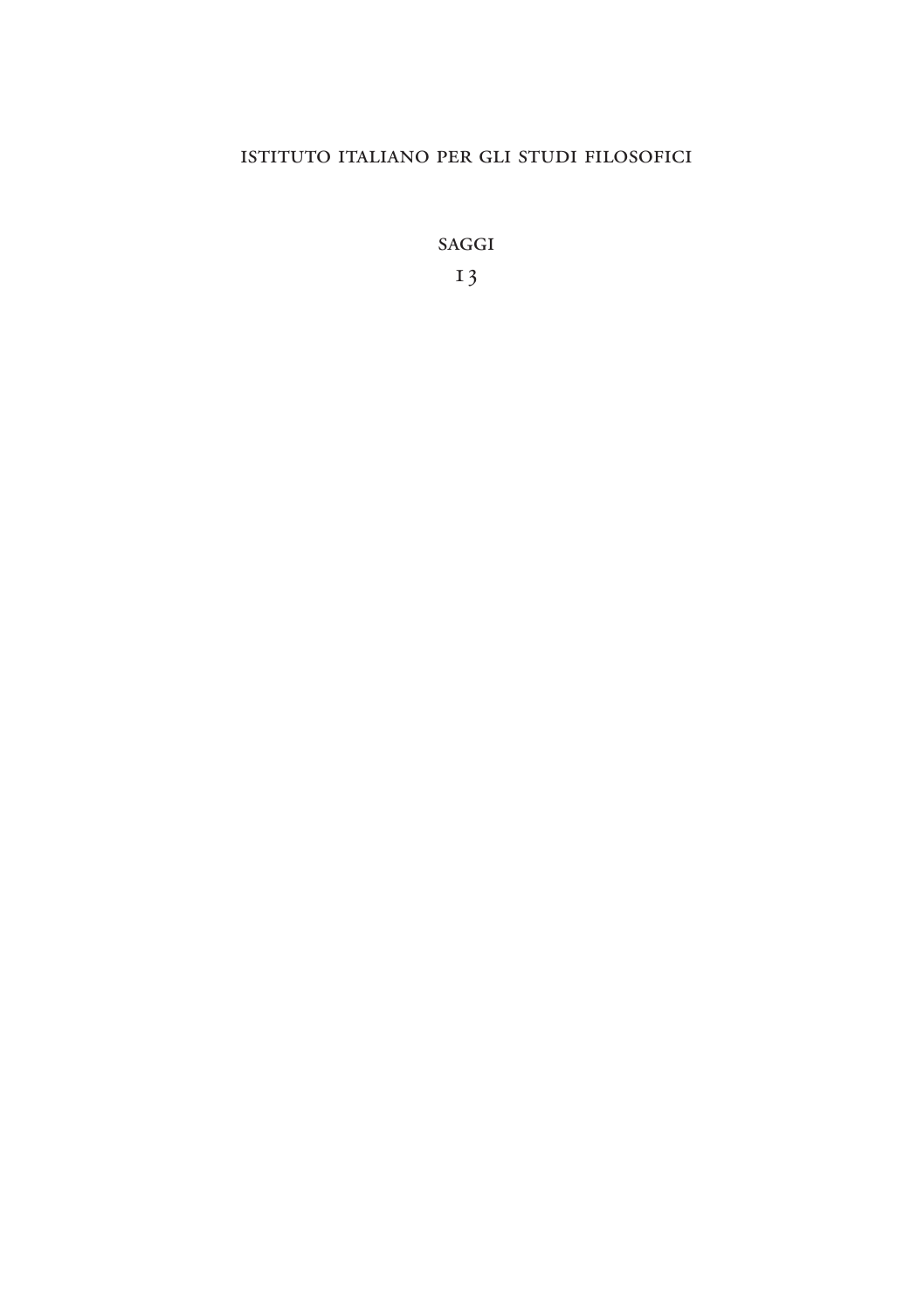### istituto italiano per gli studi filosofici

saggi

13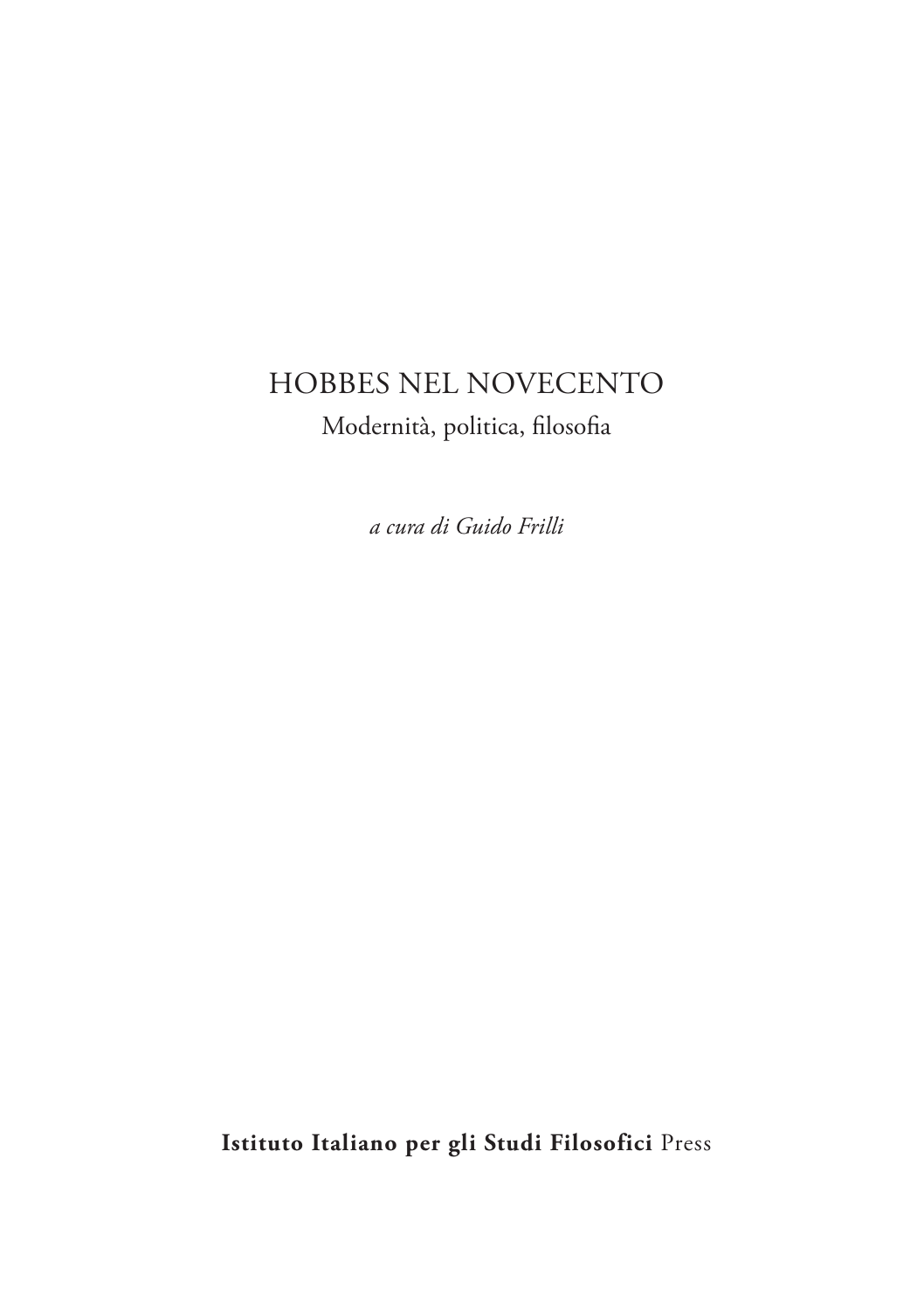## HOBBES NEL NOVECENTO Modernità, politica, filosofia

*a cura di Guido Frilli*

**Istituto Italiano per gli Studi Filosofici** Press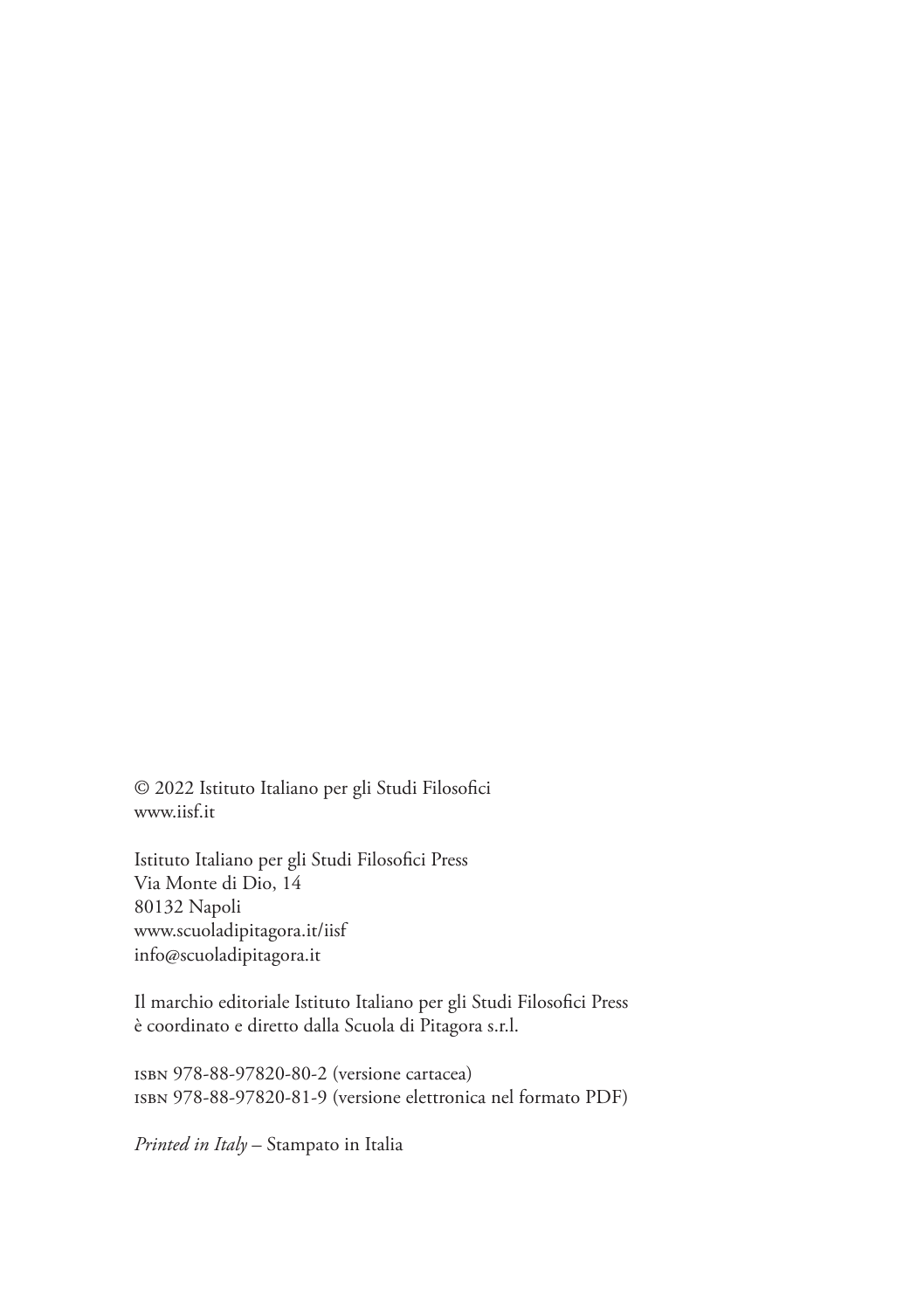© 2022 Istituto Italiano per gli Studi Filosofici www.iisf.it

Istituto Italiano per gli Studi Filosofici Press Via Monte di Dio, 14 80132 Napoli www.scuoladipitagora.it/iisf info@scuoladipitagora.it

Il marchio editoriale Istituto Italiano per gli Studi Filosofici Press è coordinato e diretto dalla Scuola di Pitagora s.r.l.

isbn 978-88-97820-80-2 (versione cartacea) isbn 978-88-97820-81-9 (versione elettronica nel formato PDF)

*Printed in Italy* – Stampato in Italia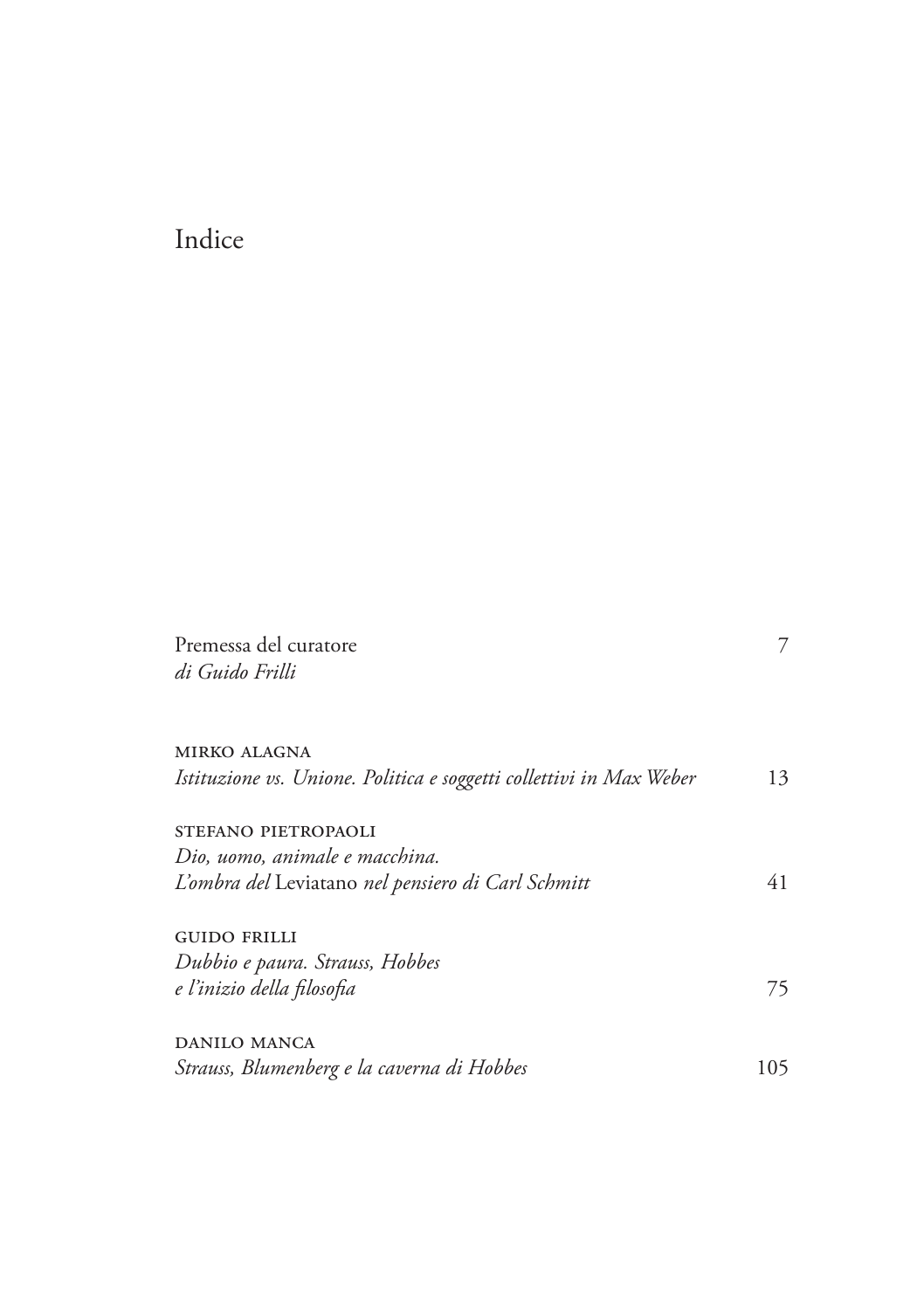## Indice

| Premessa del curatore<br>di Guido Frilli                            | 7   |
|---------------------------------------------------------------------|-----|
|                                                                     |     |
| <b>MIRKO ALAGNA</b>                                                 |     |
| Istituzione vs. Unione. Politica e soggetti collettivi in Max Weber | 13  |
| STEFANO PIETROPAOLI                                                 |     |
| Dio, uomo, animale e macchina.                                      |     |
| L'ombra del Leviatano nel pensiero di Carl Schmitt                  | 41  |
| <b>GUIDO FRILLI</b>                                                 |     |
| Dubbio e paura. Strauss, Hobbes                                     |     |
| e l'inizio della filosofia                                          | 75  |
| <b>DANILO MANCA</b>                                                 |     |
| Strauss, Blumenberg e la caverna di Hobbes                          | 105 |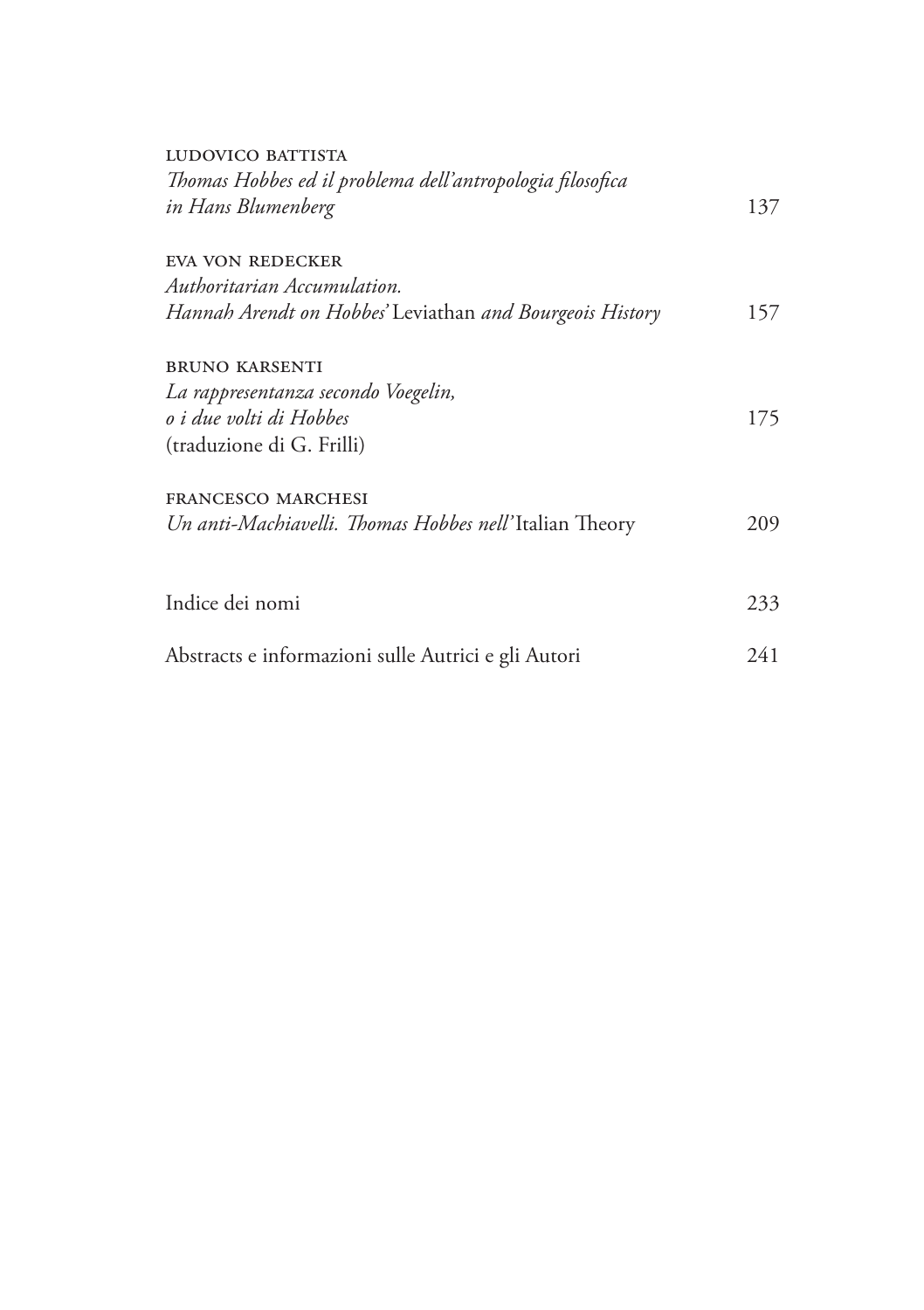| LUDOVICO BATTISTA<br>Thomas Hobbes ed il problema dell'antropologia filosofica<br>in Hans Blumenberg |     |
|------------------------------------------------------------------------------------------------------|-----|
|                                                                                                      |     |
|                                                                                                      | 137 |
| EVA VON REDECKER                                                                                     |     |
| Authoritarian Accumulation.                                                                          |     |
| Hannah Arendt on Hobbes' Leviathan and Bourgeois History                                             | 157 |
| <b>BRUNO KARSENTI</b>                                                                                |     |
| La rappresentanza secondo Voegelin,                                                                  |     |
| o i due volti di Hobbes                                                                              | 175 |
| (traduzione di G. Frilli)                                                                            |     |
| FRANCESCO MARCHESI                                                                                   |     |
| Un anti-Machiavelli. Thomas Hobbes nell'Italian Theory                                               | 209 |
|                                                                                                      |     |
| Indice dei nomi                                                                                      | 233 |
| Abstracts e informazioni sulle Autrici e gli Autori                                                  | 241 |
|                                                                                                      |     |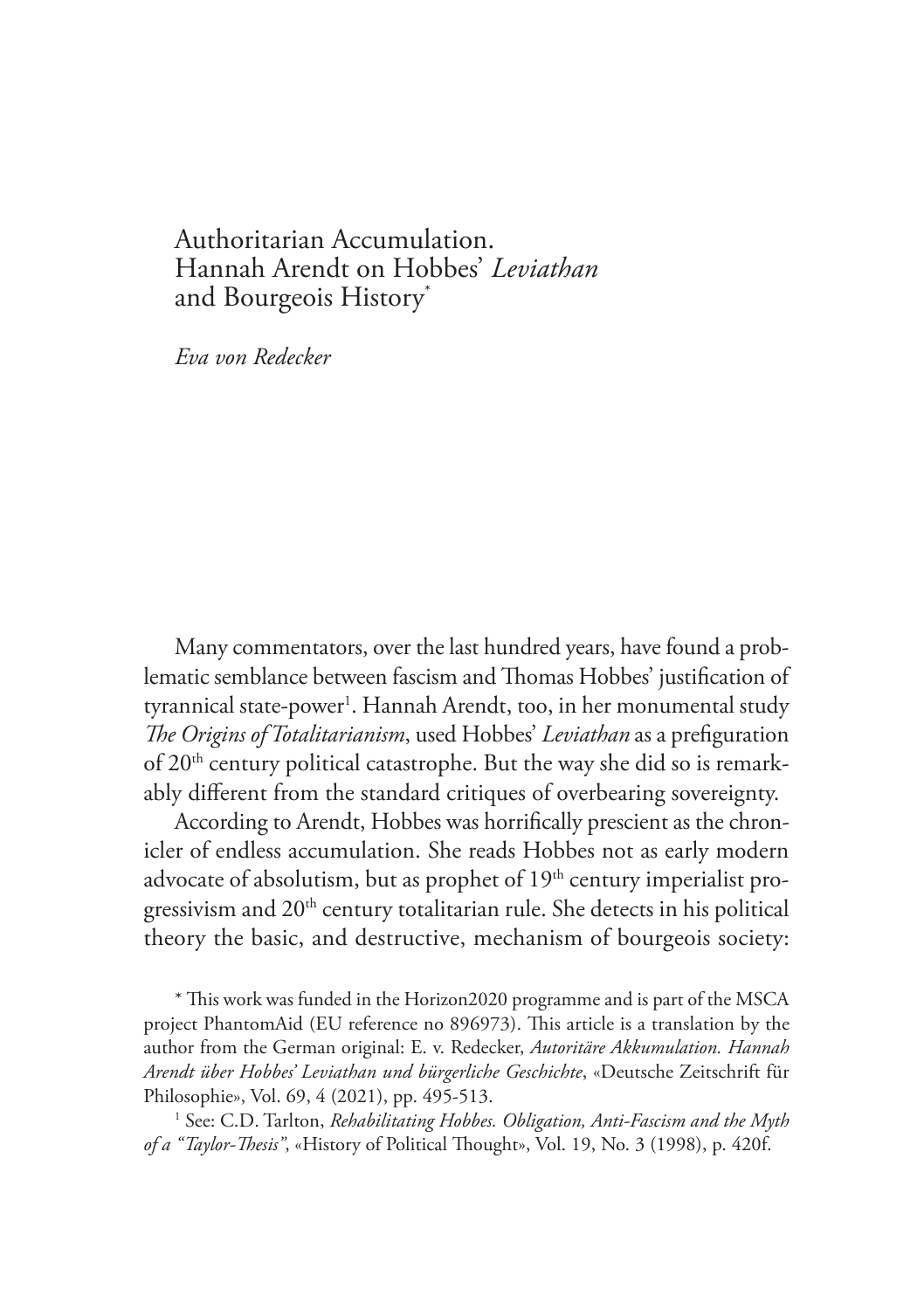## Authoritarian Accumulation. Hannah Arendt on Hobbes' *Leviathan* and Bourgeois History\*

*Eva von Redecker*

Many commentators, over the last hundred years, have found a problematic semblance between fascism and Thomas Hobbes' justification of tyrannical state-power<sup>1</sup>. Hannah Arendt, too, in her monumental study *The Origins of Totalitarianism*, used Hobbes' *Leviathan* as a prefiguration of 20th century political catastrophe. But the way she did so is remarkably different from the standard critiques of overbearing sovereignty.

According to Arendt, Hobbes was horrifically prescient as the chronicler of endless accumulation. She reads Hobbes not as early modern advocate of absolutism, but as prophet of 19<sup>th</sup> century imperialist progressivism and 20<sup>th</sup> century totalitarian rule. She detects in his political theory the basic, and destructive, mechanism of bourgeois society:

\* This work was funded in the Horizon2020 programme and is part of the MSCA project PhantomAid (EU reference no 896973). This article is a translation by the author from the German original: E. v. Redecker, *Autoritäre Akkumulation. Hannah Arendt über Hobbes' Leviathan und bürgerliche Geschichte*, «Deutsche Zeitschrift für Philosophie», Vol. 69, 4 (2021), pp. 495-513.

<sup>1</sup> See: C.D. Tarlton, *Rehabilitating Hobbes. Obligation, Anti-Fascism and the Myth of a "Taylor-Thesis"*, «History of Political Thought», Vol. 19, No. 3 (1998), p. 420f.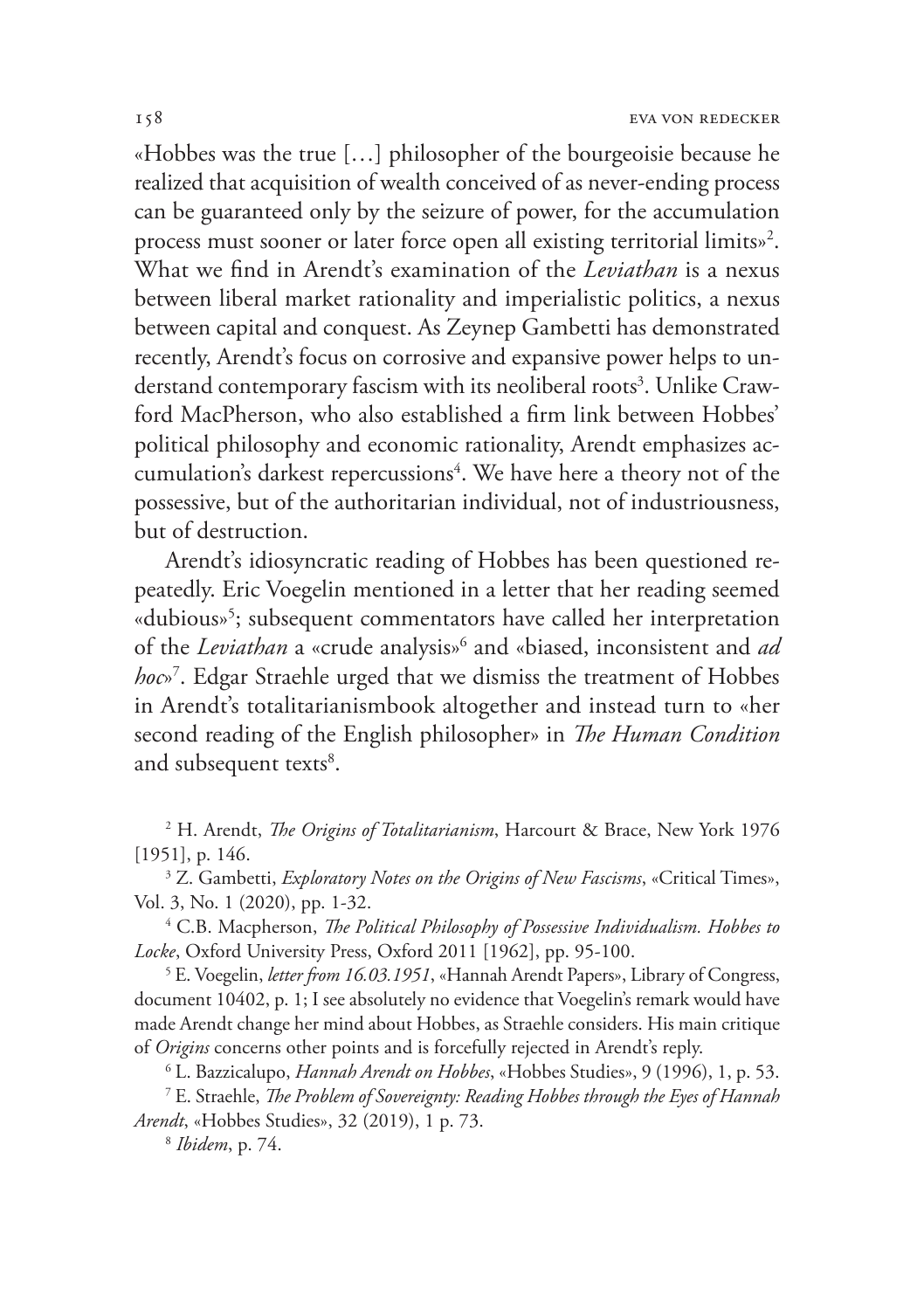«Hobbes was the true […] philosopher of the bourgeoisie because he realized that acquisition of wealth conceived of as never-ending process can be guaranteed only by the seizure of power, for the accumulation process must sooner or later force open all existing territorial limits»2 . What we find in Arendt's examination of the *Leviathan* is a nexus between liberal market rationality and imperialistic politics, a nexus between capital and conquest. As Zeynep Gambetti has demonstrated recently, Arendt's focus on corrosive and expansive power helps to understand contemporary fascism with its neoliberal roots<sup>3</sup>. Unlike Crawford MacPherson, who also established a firm link between Hobbes' political philosophy and economic rationality, Arendt emphasizes accumulation's darkest repercussions $4$ . We have here a theory not of the possessive, but of the authoritarian individual, not of industriousness, but of destruction.

Arendt's idiosyncratic reading of Hobbes has been questioned repeatedly. Eric Voegelin mentioned in a letter that her reading seemed «dubious»5 ; subsequent commentators have called her interpretation of the *Leviathan* a «crude analysis»6 and «biased, inconsistent and *ad hoc*»7 . Edgar Straehle urged that we dismiss the treatment of Hobbes in Arendt's totalitarianismbook altogether and instead turn to «her second reading of the English philosopher» in *The Human Condition*  and subsequent texts<sup>8</sup>.

2 H. Arendt, *The Origins of Totalitarianism*, Harcourt & Brace, New York 1976 [1951], p. 146.

3 Z. Gambetti, *Exploratory Notes on the Origins of New Fascisms*, «Critical Times», Vol. 3, No. 1 (2020), pp. 1-32. 4

 C.B. Macpherson, *The Political Philosophy of Possessive Individualism. Hobbes to Locke*, Oxford University Press, Oxford 2011 [1962], pp. 95-100.

5 E. Voegelin, *letter from 16.03.1951*, «Hannah Arendt Papers», Library of Congress, document 10402, p. 1; I see absolutely no evidence that Voegelin's remark would have made Arendt change her mind about Hobbes, as Straehle considers. His main critique of *Origins* concerns other points and is forcefully rejected in Arendt's reply.

6 L. Bazzicalupo, *Hannah Arendt on Hobbes*, «Hobbes Studies», 9 (1996), 1, p. 53.

7 E. Straehle, *The Problem of Sovereignty: Reading Hobbes through the Eyes of Hannah Arendt*, «Hobbes Studies», 32 (2019), 1 p. 73.

<sup>8</sup> *Ibidem*, p. 74.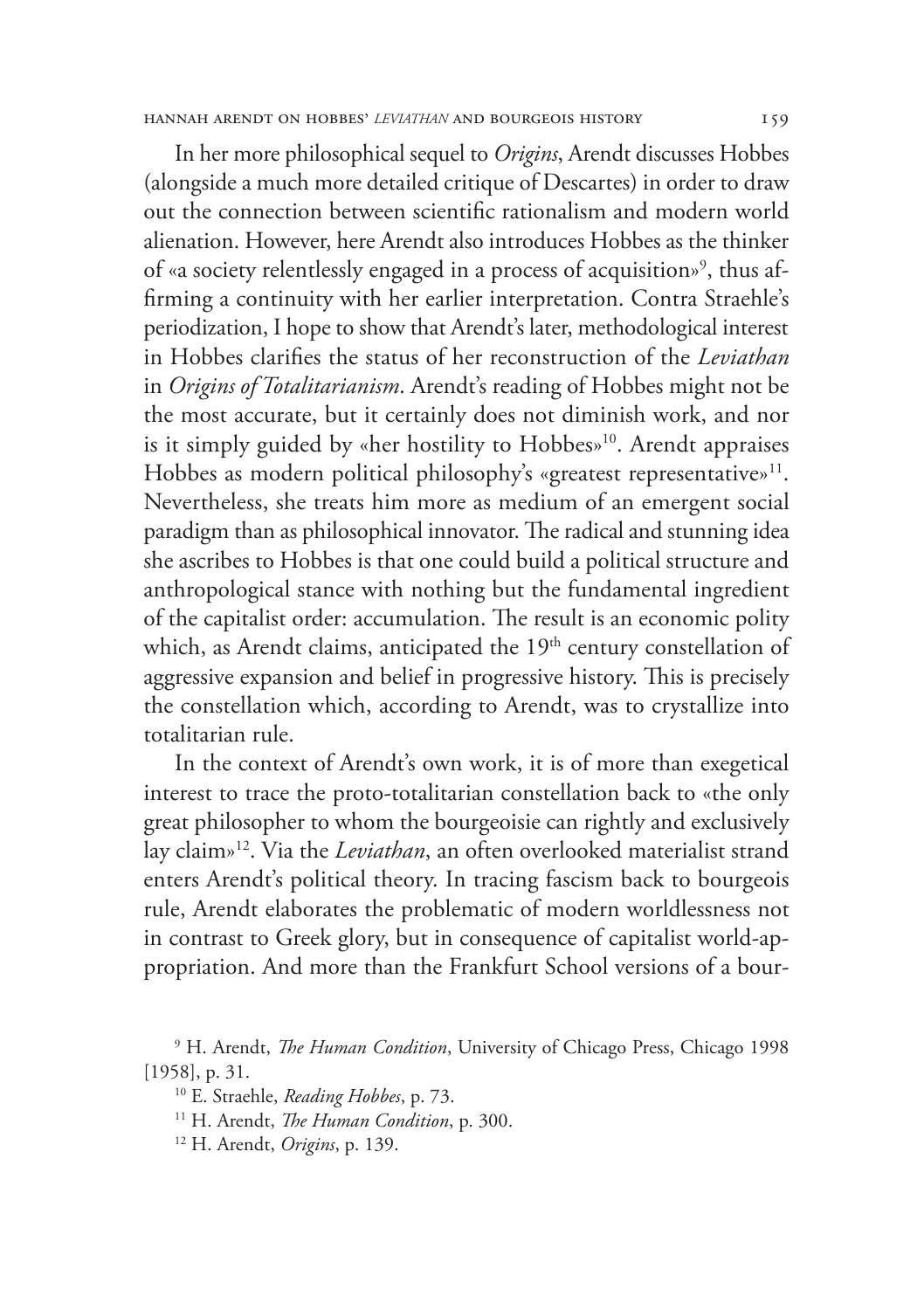#### hannah arendt on hobbes' *leviathan* and bourgeois history 159

In her more philosophical sequel to *Origins*, Arendt discusses Hobbes (alongside a much more detailed critique of Descartes) in order to draw out the connection between scientific rationalism and modern world alienation. However, here Arendt also introduces Hobbes as the thinker of «a society relentlessly engaged in a process of acquisition»<sup>9</sup>, thus affirming a continuity with her earlier interpretation. Contra Straehle's periodization, I hope to show that Arendt's later, methodological interest in Hobbes clarifies the status of her reconstruction of the *Leviathan* in *Origins of Totalitarianism*. Arendt's reading of Hobbes might not be the most accurate, but it certainly does not diminish work, and nor is it simply guided by «her hostility to Hobbes»10. Arendt appraises Hobbes as modern political philosophy's «greatest representative»<sup>11</sup>. Nevertheless, she treats him more as medium of an emergent social paradigm than as philosophical innovator. The radical and stunning idea she ascribes to Hobbes is that one could build a political structure and anthropological stance with nothing but the fundamental ingredient of the capitalist order: accumulation. The result is an economic polity which, as Arendt claims, anticipated the  $19<sup>th</sup>$  century constellation of aggressive expansion and belief in progressive history. This is precisely the constellation which, according to Arendt, was to crystallize into totalitarian rule.

In the context of Arendt's own work, it is of more than exegetical interest to trace the proto-totalitarian constellation back to «the only great philosopher to whom the bourgeoisie can rightly and exclusively lay claim»12. Via the *Leviathan*, an often overlooked materialist strand enters Arendt's political theory. In tracing fascism back to bourgeois rule, Arendt elaborates the problematic of modern worldlessness not in contrast to Greek glory, but in consequence of capitalist world-appropriation. And more than the Frankfurt School versions of a bour-

<sup>9</sup> H. Arendt, *The Human Condition*, University of Chicago Press, Chicago 1998 [1958], p. 31.

<sup>10</sup> E. Straehle, *Reading Hobbes*, p. 73.

<sup>11</sup> H. Arendt, *The Human Condition*, p. 300.

<sup>12</sup> H. Arendt, *Origins*, p. 139.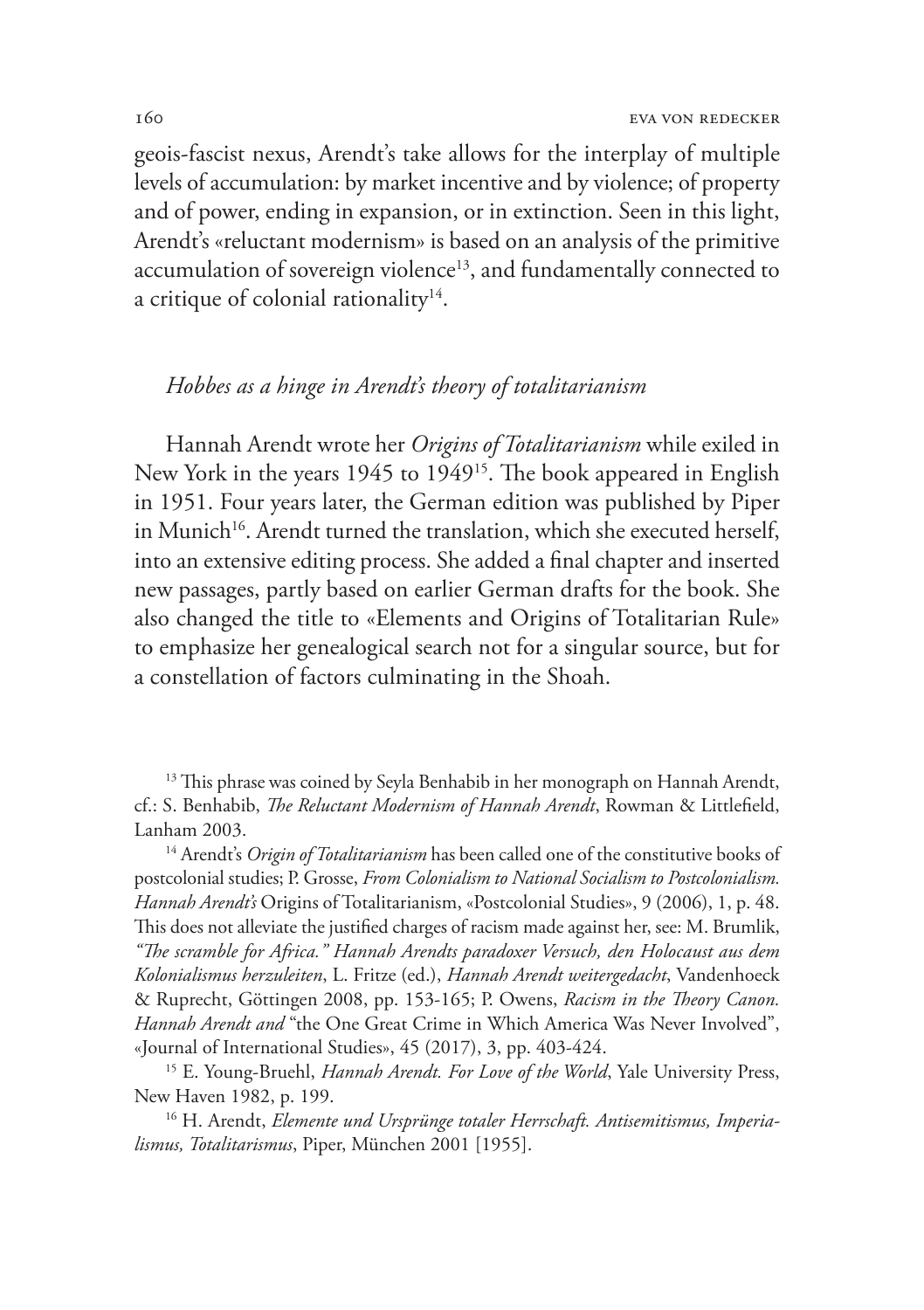geois-fascist nexus, Arendt's take allows for the interplay of multiple levels of accumulation: by market incentive and by violence; of property and of power, ending in expansion, or in extinction. Seen in this light, Arendt's «reluctant modernism» is based on an analysis of the primitive accumulation of sovereign violence<sup>13</sup>, and fundamentally connected to a critique of colonial rationality $14$ .

## *Hobbes as a hinge in Arendt's theory of totalitarianism*

Hannah Arendt wrote her *Origins of Totalitarianism* while exiled in New York in the years 1945 to 1949<sup>15</sup>. The book appeared in English in 1951. Four years later, the German edition was published by Piper in Munich<sup>16</sup>. Arendt turned the translation, which she executed herself, into an extensive editing process. She added a final chapter and inserted new passages, partly based on earlier German drafts for the book. She also changed the title to «Elements and Origins of Totalitarian Rule» to emphasize her genealogical search not for a singular source, but for a constellation of factors culminating in the Shoah.

<sup>13</sup> This phrase was coined by Seyla Benhabib in her monograph on Hannah Arendt, cf.: S. Benhabib, *The Reluctant Modernism of Hannah Arendt*, Rowman & Littlefield, Lanham 2003.

<sup>14</sup> Arendt's *Origin of Totalitarianism* has been called one of the constitutive books of postcolonial studies; P. Grosse, *From Colonialism to National Socialism to Postcolonialism. Hannah Arendt's* Origins of Totalitarianism, «Postcolonial Studies», 9 (2006), 1, p. 48. This does not alleviate the justified charges of racism made against her, see: M. Brumlik, *"The scramble for Africa." Hannah Arendts paradoxer Versuch, den Holocaust aus dem Kolonialismus herzuleiten*, L. Fritze (ed.), *Hannah Arendt weitergedacht*, Vandenhoeck & Ruprecht, Göttingen 2008, pp. 153-165; P. Owens, *Racism in the Theory Canon. Hannah Arendt and* "the One Great Crime in Which America Was Never Involved", «Journal of International Studies», 45 (2017), 3, pp. 403-424.

15 E. Young-Bruehl, *Hannah Arendt. For Love of the World*, Yale University Press, New Haven 1982, p. 199.

16 H. Arendt, *Elemente und Ursprünge totaler Herrschaft. Antisemitismus, Imperialismus, Totalitarismus*, Piper, München 2001 [1955].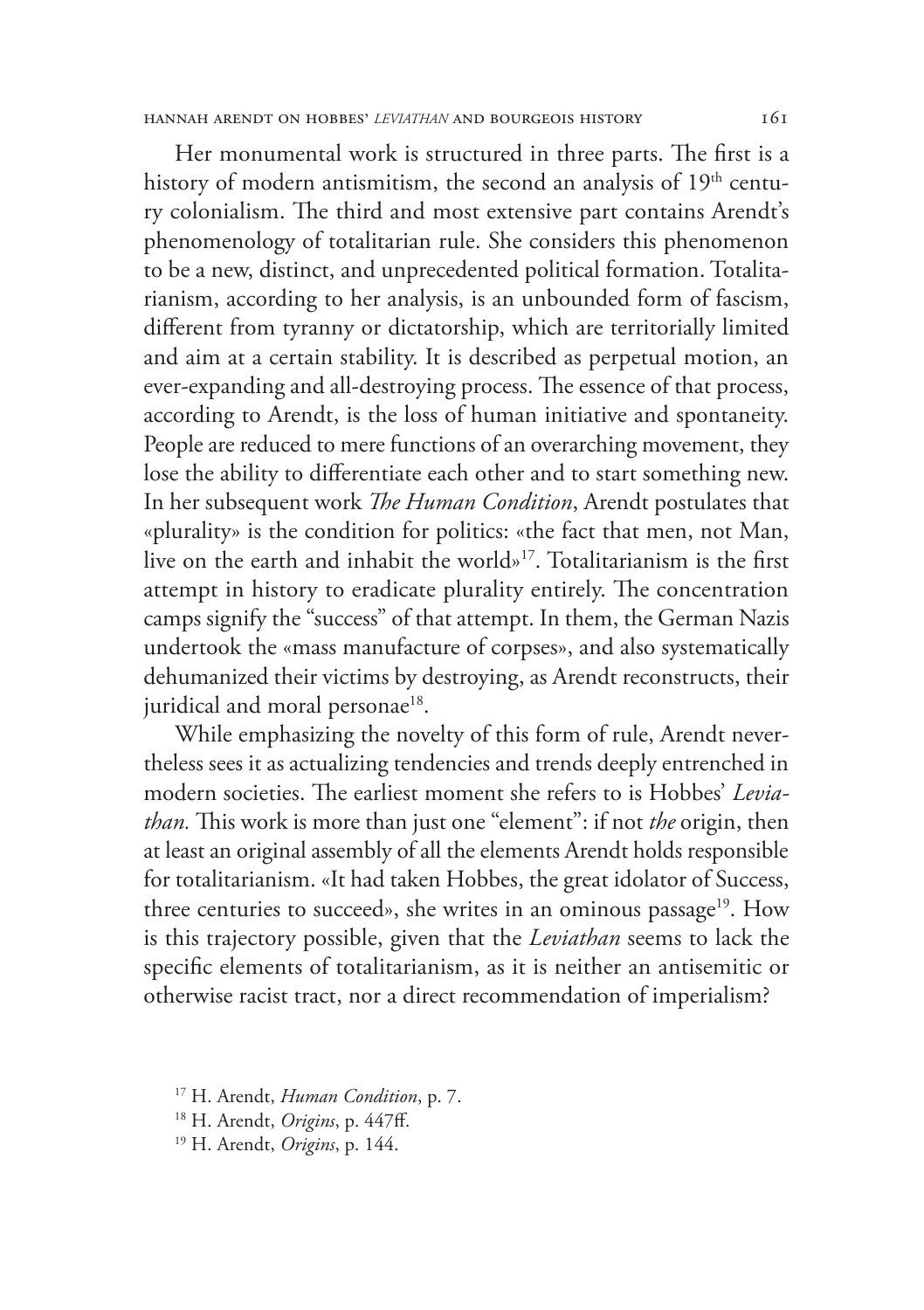Her monumental work is structured in three parts. The first is a history of modern antismitism, the second an analysis of 19<sup>th</sup> century colonialism. The third and most extensive part contains Arendt's phenomenology of totalitarian rule. She considers this phenomenon to be a new, distinct, and unprecedented political formation. Totalitarianism, according to her analysis, is an unbounded form of fascism, different from tyranny or dictatorship, which are territorially limited and aim at a certain stability. It is described as perpetual motion, an ever-expanding and all-destroying process. The essence of that process, according to Arendt, is the loss of human initiative and spontaneity. People are reduced to mere functions of an overarching movement, they lose the ability to differentiate each other and to start something new. In her subsequent work *The Human Condition*, Arendt postulates that «plurality» is the condition for politics: «the fact that men, not Man, live on the earth and inhabit the world»17. Totalitarianism is the first attempt in history to eradicate plurality entirely. The concentration camps signify the "success" of that attempt. In them, the German Nazis undertook the «mass manufacture of corpses», and also systematically dehumanized their victims by destroying, as Arendt reconstructs, their juridical and moral personae<sup>18</sup>.

While emphasizing the novelty of this form of rule, Arendt nevertheless sees it as actualizing tendencies and trends deeply entrenched in modern societies. The earliest moment she refers to is Hobbes' *Leviathan.* This work is more than just one "element": if not *the* origin, then at least an original assembly of all the elements Arendt holds responsible for totalitarianism. «It had taken Hobbes, the great idolator of Success, three centuries to succeed», she writes in an ominous passage<sup>19</sup>. How is this trajectory possible, given that the *Leviathan* seems to lack the specific elements of totalitarianism, as it is neither an antisemitic or otherwise racist tract, nor a direct recommendation of imperialism?

17 H. Arendt, *Human Condition*, p. 7.

18 H. Arendt, *Origins*, p. 447ff.

19 H. Arendt, *Origins*, p. 144.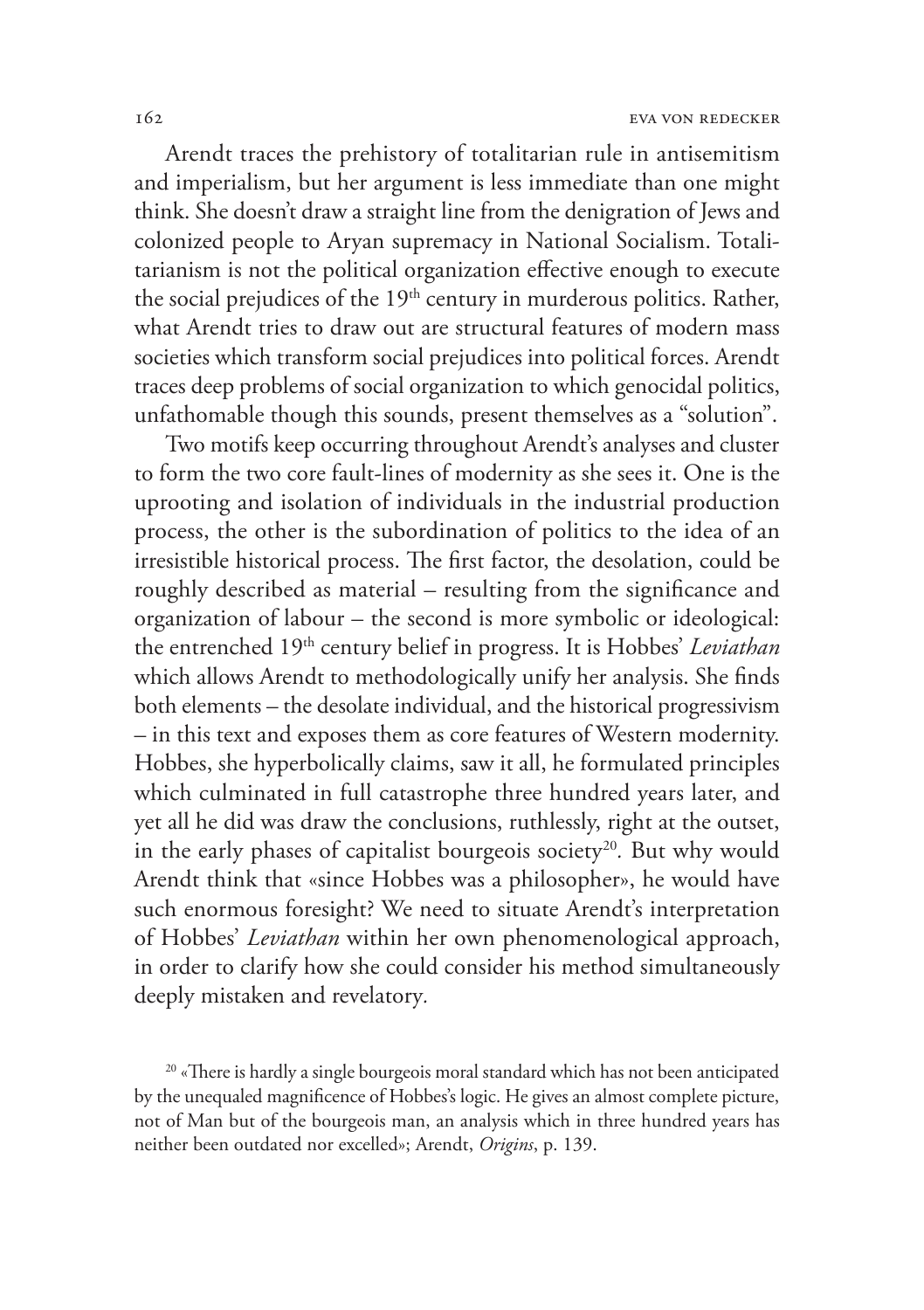Arendt traces the prehistory of totalitarian rule in antisemitism and imperialism, but her argument is less immediate than one might think. She doesn't draw a straight line from the denigration of Jews and colonized people to Aryan supremacy in National Socialism. Totalitarianism is not the political organization effective enough to execute the social prejudices of the 19<sup>th</sup> century in murderous politics. Rather, what Arendt tries to draw out are structural features of modern mass societies which transform social prejudices into political forces. Arendt traces deep problems of social organization to which genocidal politics, unfathomable though this sounds, present themselves as a "solution".

Two motifs keep occurring throughout Arendt's analyses and cluster to form the two core fault-lines of modernity as she sees it. One is the uprooting and isolation of individuals in the industrial production process, the other is the subordination of politics to the idea of an irresistible historical process. The first factor, the desolation, could be roughly described as material – resulting from the significance and organization of labour – the second is more symbolic or ideological: the entrenched 19th century belief in progress. It is Hobbes' *Leviathan*  which allows Arendt to methodologically unify her analysis. She finds both elements – the desolate individual, and the historical progressivism – in this text and exposes them as core features of Western modernity. Hobbes, she hyperbolically claims, saw it all, he formulated principles which culminated in full catastrophe three hundred years later, and yet all he did was draw the conclusions, ruthlessly, right at the outset, in the early phases of capitalist bourgeois society<sup>20</sup>. But why would Arendt think that «since Hobbes was a philosopher», he would have such enormous foresight? We need to situate Arendt's interpretation of Hobbes' *Leviathan* within her own phenomenological approach, in order to clarify how she could consider his method simultaneously deeply mistaken and revelatory*.* 

<sup>20</sup> «There is hardly a single bourgeois moral standard which has not been anticipated by the unequaled magnificence of Hobbes's logic. He gives an almost complete picture, not of Man but of the bourgeois man, an analysis which in three hundred years has neither been outdated nor excelled»; Arendt, *Origins*, p. 139.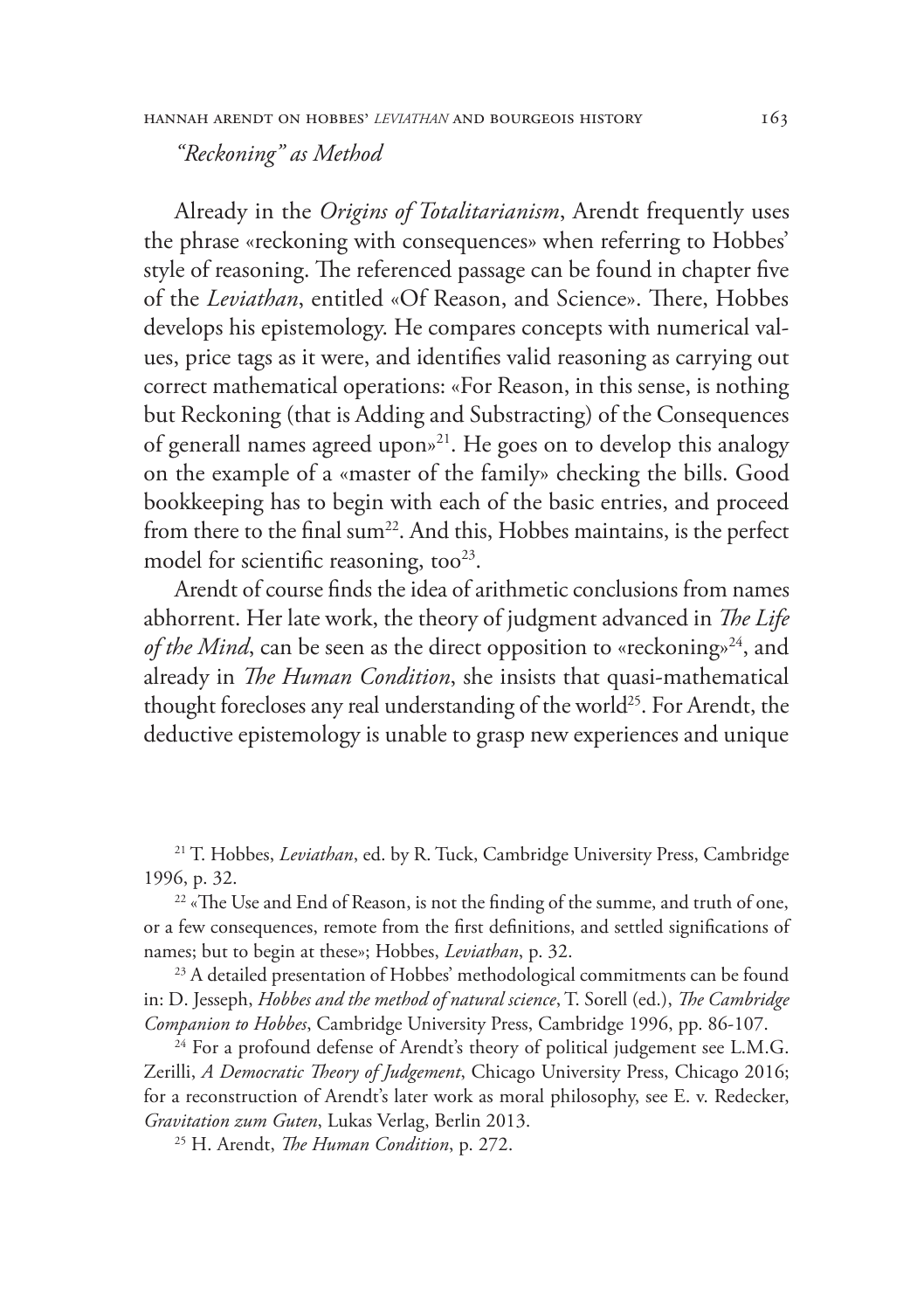*"Reckoning" as Method*

Already in the *Origins of Totalitarianism*, Arendt frequently uses the phrase «reckoning with consequences» when referring to Hobbes' style of reasoning. The referenced passage can be found in chapter five of the *Leviathan*, entitled «Of Reason, and Science». There, Hobbes develops his epistemology. He compares concepts with numerical values, price tags as it were, and identifies valid reasoning as carrying out correct mathematical operations: «For Reason, in this sense, is nothing but Reckoning (that is Adding and Substracting) of the Consequences of generall names agreed upon»21. He goes on to develop this analogy on the example of a «master of the family» checking the bills. Good bookkeeping has to begin with each of the basic entries, and proceed from there to the final sum<sup>22</sup>. And this, Hobbes maintains, is the perfect model for scientific reasoning, too<sup>23</sup>.

Arendt of course finds the idea of arithmetic conclusions from names abhorrent. Her late work, the theory of judgment advanced in *The Life of the Mind*, can be seen as the direct opposition to «reckoning»<sup>24</sup>, and already in *The Human Condition*, she insists that quasi-mathematical thought forecloses any real understanding of the world<sup>25</sup>. For Arendt, the deductive epistemology is unable to grasp new experiences and unique

21 T. Hobbes, *Leviathan*, ed. by R. Tuck, Cambridge University Press, Cambridge 1996, p. 32.

<sup>22</sup> «The Use and End of Reason, is not the finding of the summe, and truth of one, or a few consequences, remote from the first definitions, and settled significations of names; but to begin at these»; Hobbes, *Leviathan*, p. 32.

<sup>23</sup> A detailed presentation of Hobbes' methodological commitments can be found in: D. Jesseph, *Hobbes and the method of natural science*, T. Sorell (ed.), *The Cambridge Companion to Hobbes*, Cambridge University Press, Cambridge 1996, pp. 86-107.

<sup>24</sup> For a profound defense of Arendt's theory of political judgement see L.M.G. Zerilli, *A Democratic Theory of Judgement*, Chicago University Press, Chicago 2016; for a reconstruction of Arendt's later work as moral philosophy, see E. v. Redecker, *Gravitation zum Guten*, Lukas Verlag, Berlin 2013.

25 H. Arendt, *The Human Condition*, p. 272.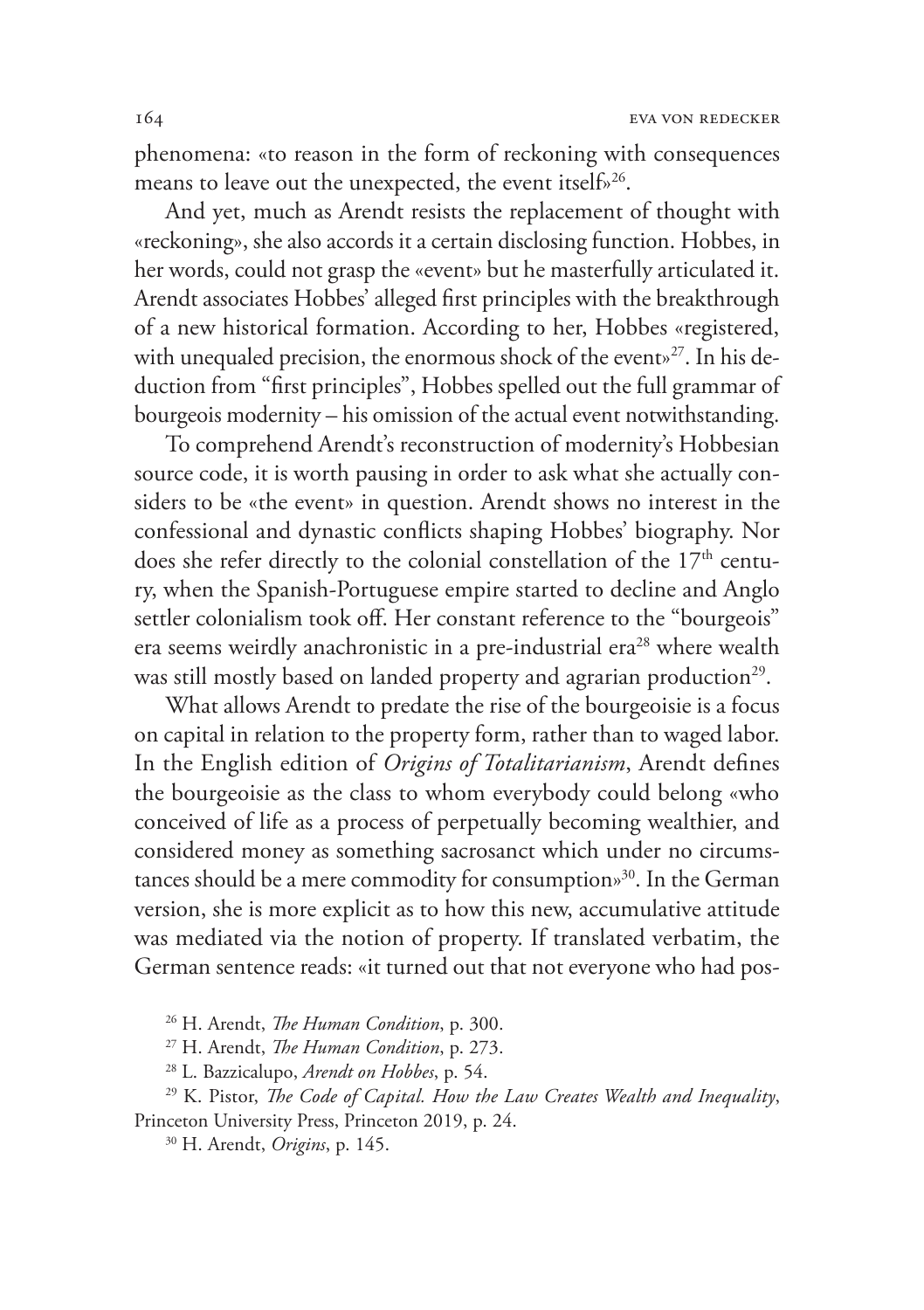phenomena: «to reason in the form of reckoning with consequences means to leave out the unexpected, the event itself»<sup>26</sup>.

And yet, much as Arendt resists the replacement of thought with «reckoning», she also accords it a certain disclosing function. Hobbes, in her words, could not grasp the «event» but he masterfully articulated it. Arendt associates Hobbes' alleged first principles with the breakthrough of a new historical formation. According to her, Hobbes «registered, with unequaled precision, the enormous shock of the event»<sup>27</sup>. In his deduction from "first principles", Hobbes spelled out the full grammar of bourgeois modernity – his omission of the actual event notwithstanding.

To comprehend Arendt's reconstruction of modernity's Hobbesian source code, it is worth pausing in order to ask what she actually considers to be «the event» in question. Arendt shows no interest in the confessional and dynastic conflicts shaping Hobbes' biography. Nor does she refer directly to the colonial constellation of the 17<sup>th</sup> century, when the Spanish-Portuguese empire started to decline and Anglo settler colonialism took off. Her constant reference to the "bourgeois" era seems weirdly anachronistic in a pre-industrial era<sup>28</sup> where wealth was still mostly based on landed property and agrarian production<sup>29</sup>.

What allows Arendt to predate the rise of the bourgeoisie is a focus on capital in relation to the property form, rather than to waged labor. In the English edition of *Origins of Totalitarianism*, Arendt defines the bourgeoisie as the class to whom everybody could belong «who conceived of life as a process of perpetually becoming wealthier, and considered money as something sacrosanct which under no circumstances should be a mere commodity for consumption»30. In the German version, she is more explicit as to how this new, accumulative attitude was mediated via the notion of property. If translated verbatim, the German sentence reads: «it turned out that not everyone who had pos-

26 H. Arendt, *The Human Condition*, p. 300.

27 H. Arendt, *The Human Condition*, p. 273.

28 L. Bazzicalupo, *Arendt on Hobbes*, p. 54.

29 K. Pistor, *The Code of Capital. How the Law Creates Wealth and Inequality*, Princeton University Press, Princeton 2019, p. 24.

30 H. Arendt, *Origins*, p. 145.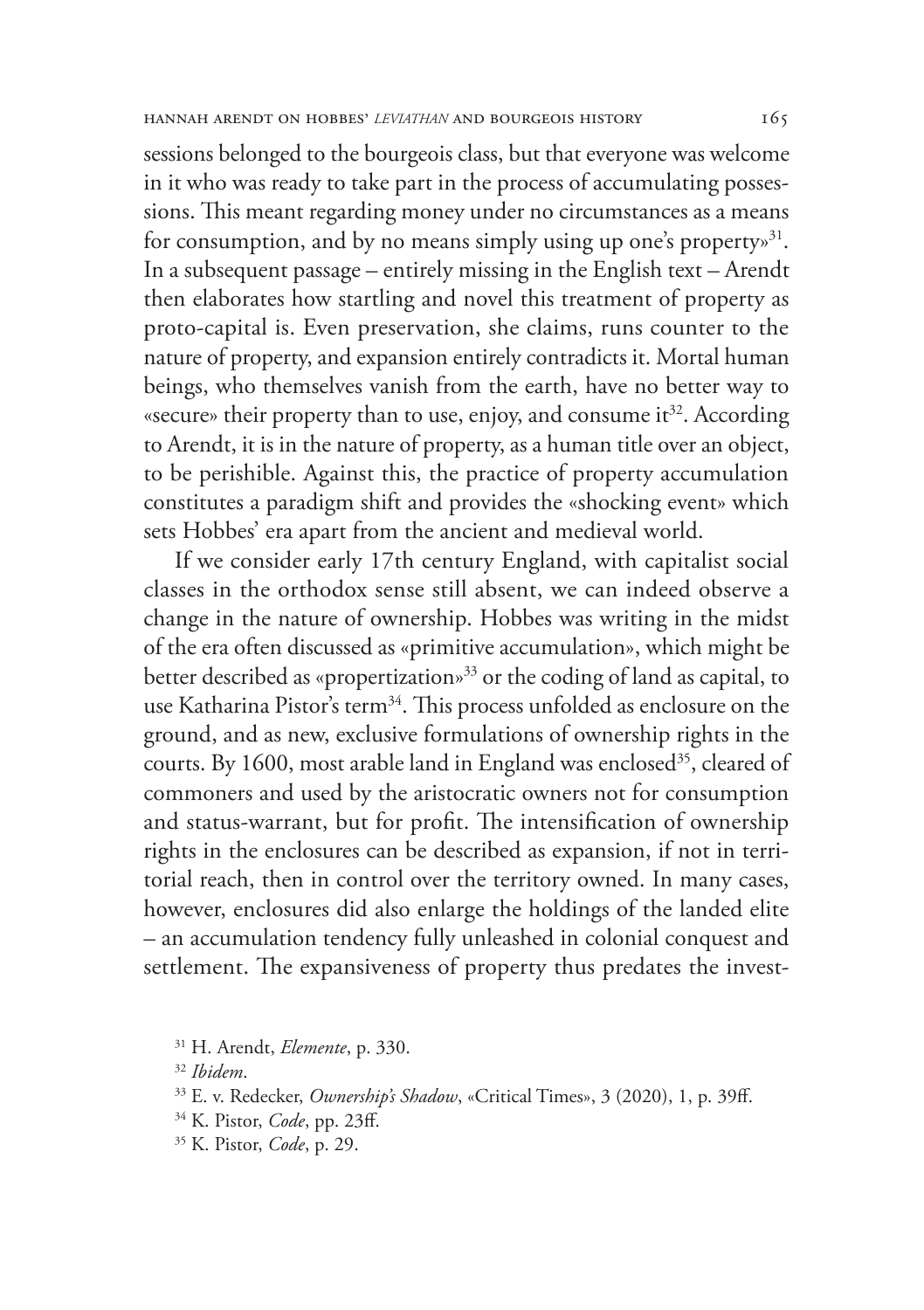sessions belonged to the bourgeois class, but that everyone was welcome in it who was ready to take part in the process of accumulating possessions. This meant regarding money under no circumstances as a means for consumption, and by no means simply using up one's property.<sup>31</sup>. In a subsequent passage – entirely missing in the English text – Arendt then elaborates how startling and novel this treatment of property as proto-capital is. Even preservation, she claims, runs counter to the nature of property, and expansion entirely contradicts it. Mortal human beings, who themselves vanish from the earth, have no better way to «secure» their property than to use, enjoy, and consume it<sup>32</sup>. According to Arendt, it is in the nature of property, as a human title over an object, to be perishible. Against this, the practice of property accumulation constitutes a paradigm shift and provides the «shocking event» which sets Hobbes' era apart from the ancient and medieval world.

If we consider early 17th century England, with capitalist social classes in the orthodox sense still absent, we can indeed observe a change in the nature of ownership. Hobbes was writing in the midst of the era often discussed as «primitive accumulation», which might be better described as «propertization»33 or the coding of land as capital, to use Katharina Pistor's term<sup>34</sup>. This process unfolded as enclosure on the ground, and as new, exclusive formulations of ownership rights in the courts. By 1600, most arable land in England was enclosed<sup>35</sup>, cleared of commoners and used by the aristocratic owners not for consumption and status-warrant, but for profit. The intensification of ownership rights in the enclosures can be described as expansion, if not in territorial reach, then in control over the territory owned. In many cases, however, enclosures did also enlarge the holdings of the landed elite – an accumulation tendency fully unleashed in colonial conquest and settlement. The expansiveness of property thus predates the invest-

<sup>32</sup> *Ibidem*.

- 34 K. Pistor, *Code*, pp. 23ff. 35 K. Pistor, *Code*, p. 29.
- 

<sup>31</sup> H. Arendt, *Elemente*, p. 330.

<sup>33</sup> E. v. Redecker, *Ownership's Shadow*, «Critical Times», 3 (2020), 1, p. 39ff.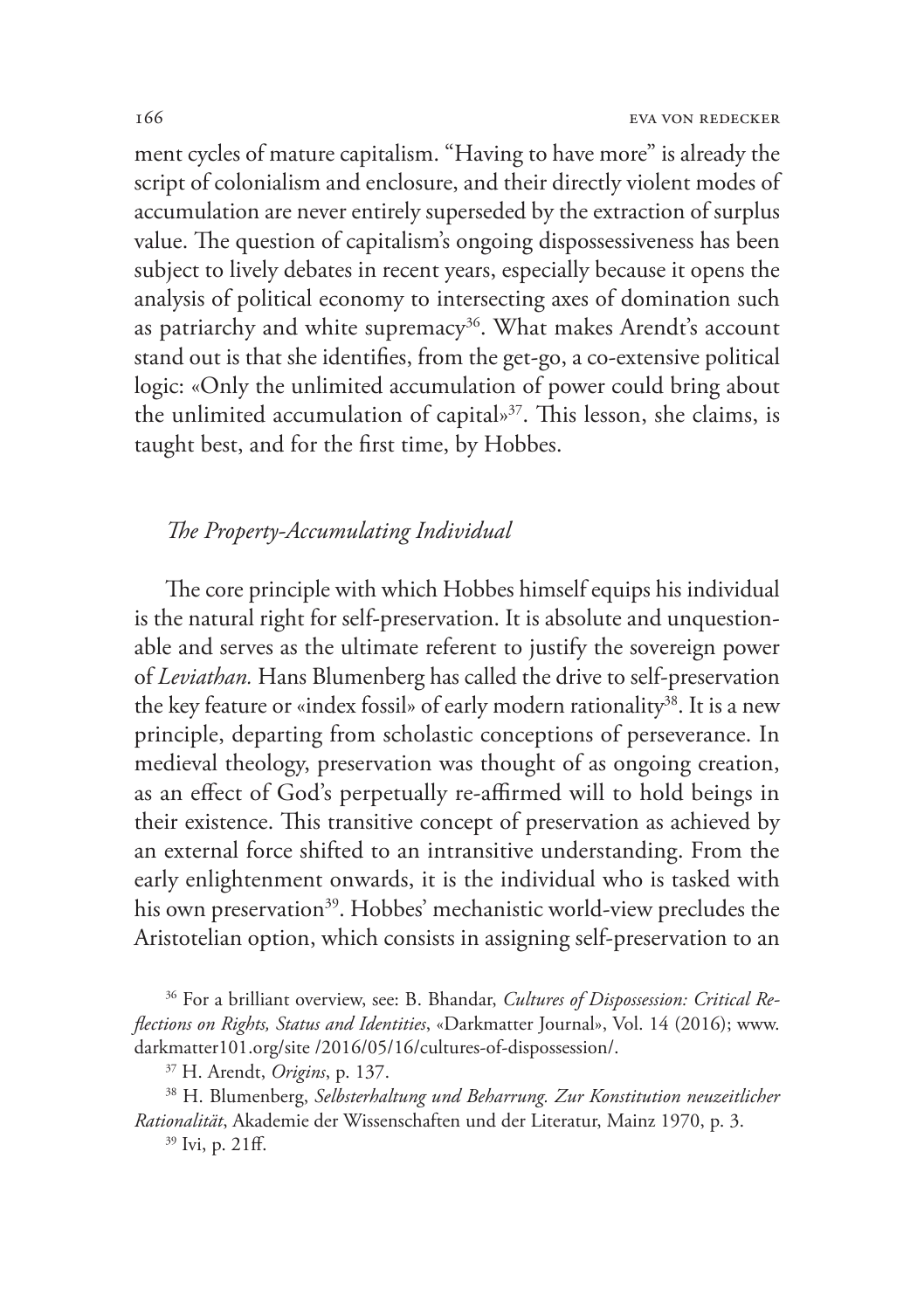ment cycles of mature capitalism. "Having to have more" is already the script of colonialism and enclosure, and their directly violent modes of accumulation are never entirely superseded by the extraction of surplus value. The question of capitalism's ongoing dispossessiveness has been subject to lively debates in recent years, especially because it opens the analysis of political economy to intersecting axes of domination such as patriarchy and white supremacy<sup>36</sup>. What makes Arendt's account stand out is that she identifies, from the get-go, a co-extensive political logic: «Only the unlimited accumulation of power could bring about the unlimited accumulation of capital»<sup>37</sup>. This lesson, she claims, is taught best, and for the first time, by Hobbes.

## *The Property-Accumulating Individual*

The core principle with which Hobbes himself equips his individual is the natural right for self-preservation. It is absolute and unquestionable and serves as the ultimate referent to justify the sovereign power of *Leviathan.* Hans Blumenberg has called the drive to self-preservation the key feature or «index fossil» of early modern rationality<sup>38</sup>. It is a new principle, departing from scholastic conceptions of perseverance. In medieval theology, preservation was thought of as ongoing creation, as an effect of God's perpetually re-affirmed will to hold beings in their existence. This transitive concept of preservation as achieved by an external force shifted to an intransitive understanding. From the early enlightenment onwards, it is the individual who is tasked with his own preservation<sup>39</sup>. Hobbes' mechanistic world-view precludes the Aristotelian option, which consists in assigning self-preservation to an

36 For a brilliant overview, see: B. Bhandar, *Cultures of Dispossession: Critical Reflections on Rights, Status and Identities*, «Darkmatter Journal», Vol. 14 (2016); www. darkmatter101.org/site /2016/05/16/cultures-of-dispossession/.

38 H. Blumenberg, *Selbsterhaltung und Beharrung. Zur Konstitution neuzeitlicher Rationalität*, Akademie der Wissenschaften und der Literatur, Mainz 1970, p. 3.

39 Ivi, p. 21ff.

<sup>37</sup> H. Arendt, *Origins*, p. 137.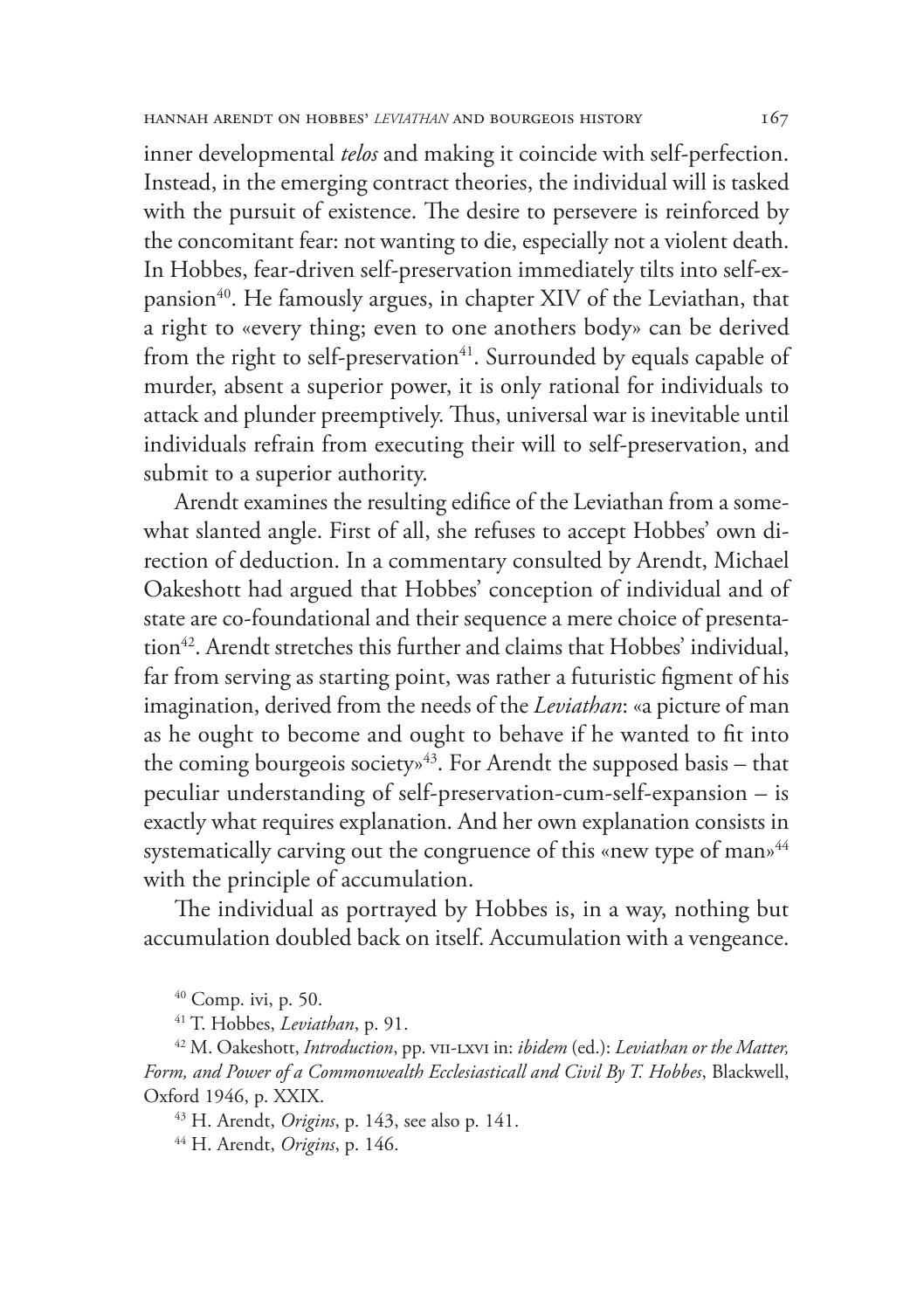inner developmental *telos* and making it coincide with self-perfection. Instead, in the emerging contract theories, the individual will is tasked with the pursuit of existence. The desire to persevere is reinforced by the concomitant fear: not wanting to die, especially not a violent death. In Hobbes, fear-driven self-preservation immediately tilts into self-expansion<sup>40</sup>. He famously argues, in chapter XIV of the Leviathan, that a right to «every thing; even to one anothers body» can be derived from the right to self-preservation $41$ . Surrounded by equals capable of murder, absent a superior power, it is only rational for individuals to attack and plunder preemptively. Thus, universal war is inevitable until individuals refrain from executing their will to self-preservation, and submit to a superior authority.

Arendt examines the resulting edifice of the Leviathan from a somewhat slanted angle. First of all, she refuses to accept Hobbes' own direction of deduction. In a commentary consulted by Arendt, Michael Oakeshott had argued that Hobbes' conception of individual and of state are co-foundational and their sequence a mere choice of presentation<sup>42</sup>. Arendt stretches this further and claims that Hobbes' individual, far from serving as starting point, was rather a futuristic figment of his imagination, derived from the needs of the *Leviathan*: «a picture of man as he ought to become and ought to behave if he wanted to fit into the coming bourgeois society»<sup>43</sup>. For Arendt the supposed basis – that peculiar understanding of self-preservation-cum-self-expansion – is exactly what requires explanation. And her own explanation consists in systematically carving out the congruence of this «new type of man»<sup>44</sup> with the principle of accumulation.

The individual as portrayed by Hobbes is, in a way, nothing but accumulation doubled back on itself. Accumulation with a vengeance.

40 Comp. ivi, p. 50.

41 T. Hobbes, *Leviathan*, p. 91.

<sup>42</sup> M. Oakeshott, *Introduction*, pp. VII-LXVI in: *ibidem* (ed.): *Leviathan or the Matter*, *Form, and Power of a Commonwealth Ecclesiasticall and Civil By T. Hobbes*, Blackwell, Oxford 1946, p. XXIX. 43 H. Arendt, *Origins*, p. 143, see also p. 141.

44 H. Arendt, *Origins*, p. 146.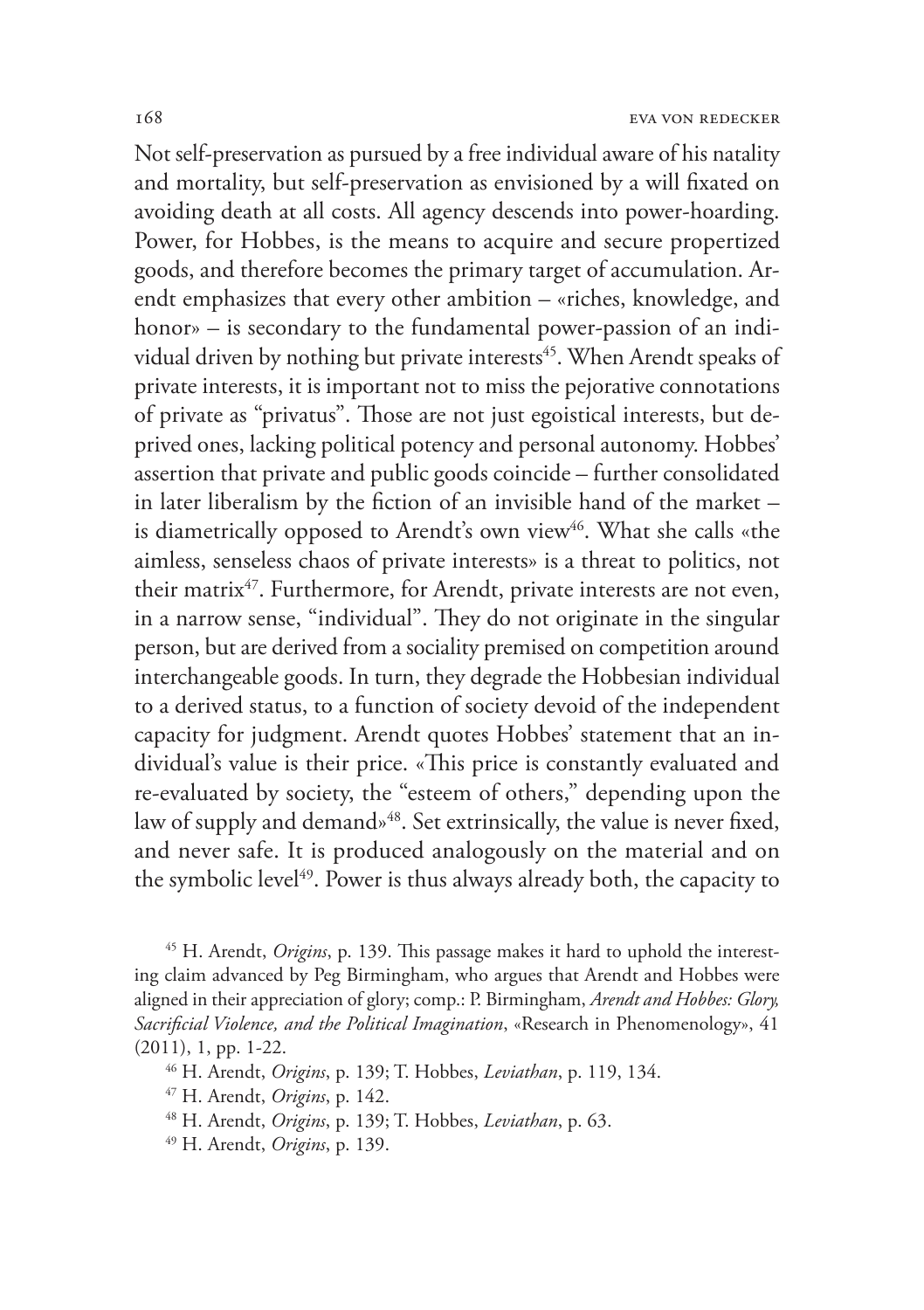Not self-preservation as pursued by a free individual aware of his natality and mortality, but self-preservation as envisioned by a will fixated on avoiding death at all costs. All agency descends into power-hoarding. Power, for Hobbes, is the means to acquire and secure propertized goods, and therefore becomes the primary target of accumulation. Arendt emphasizes that every other ambition – «riches, knowledge, and honor» – is secondary to the fundamental power-passion of an individual driven by nothing but private interests<sup>45</sup>. When Arendt speaks of private interests, it is important not to miss the pejorative connotations of private as "privatus". Those are not just egoistical interests, but deprived ones, lacking political potency and personal autonomy. Hobbes' assertion that private and public goods coincide – further consolidated in later liberalism by the fiction of an invisible hand of the market – is diametrically opposed to Arendt's own view<sup>46</sup>. What she calls «the aimless, senseless chaos of private interests» is a threat to politics, not their matrix<sup>47</sup>. Furthermore, for Arendt, private interests are not even, in a narrow sense, "individual". They do not originate in the singular person, but are derived from a sociality premised on competition around interchangeable goods. In turn, they degrade the Hobbesian individual to a derived status, to a function of society devoid of the independent capacity for judgment. Arendt quotes Hobbes' statement that an individual's value is their price. «This price is constantly evaluated and re-evaluated by society, the "esteem of others," depending upon the law of supply and demand»<sup>48</sup>. Set extrinsically, the value is never fixed, and never safe. It is produced analogously on the material and on the symbolic level<sup>49</sup>. Power is thus always already both, the capacity to

45 H. Arendt, *Origins*, p. 139. This passage makes it hard to uphold the interesting claim advanced by Peg Birmingham, who argues that Arendt and Hobbes were aligned in their appreciation of glory; comp.: P. Birmingham, *Arendt and Hobbes: Glory, Sacrificial Violence, and the Political Imagination*, «Research in Phenomenology», 41 (2011), 1, pp. 1-22.

46 H. Arendt, *Origins*, p. 139; T. Hobbes, *Leviathan*, p. 119, 134.

47 H. Arendt, *Origins*, p. 142.

48 H. Arendt, *Origins*, p. 139; T. Hobbes, *Leviathan*, p. 63.

49 H. Arendt, *Origins*, p. 139.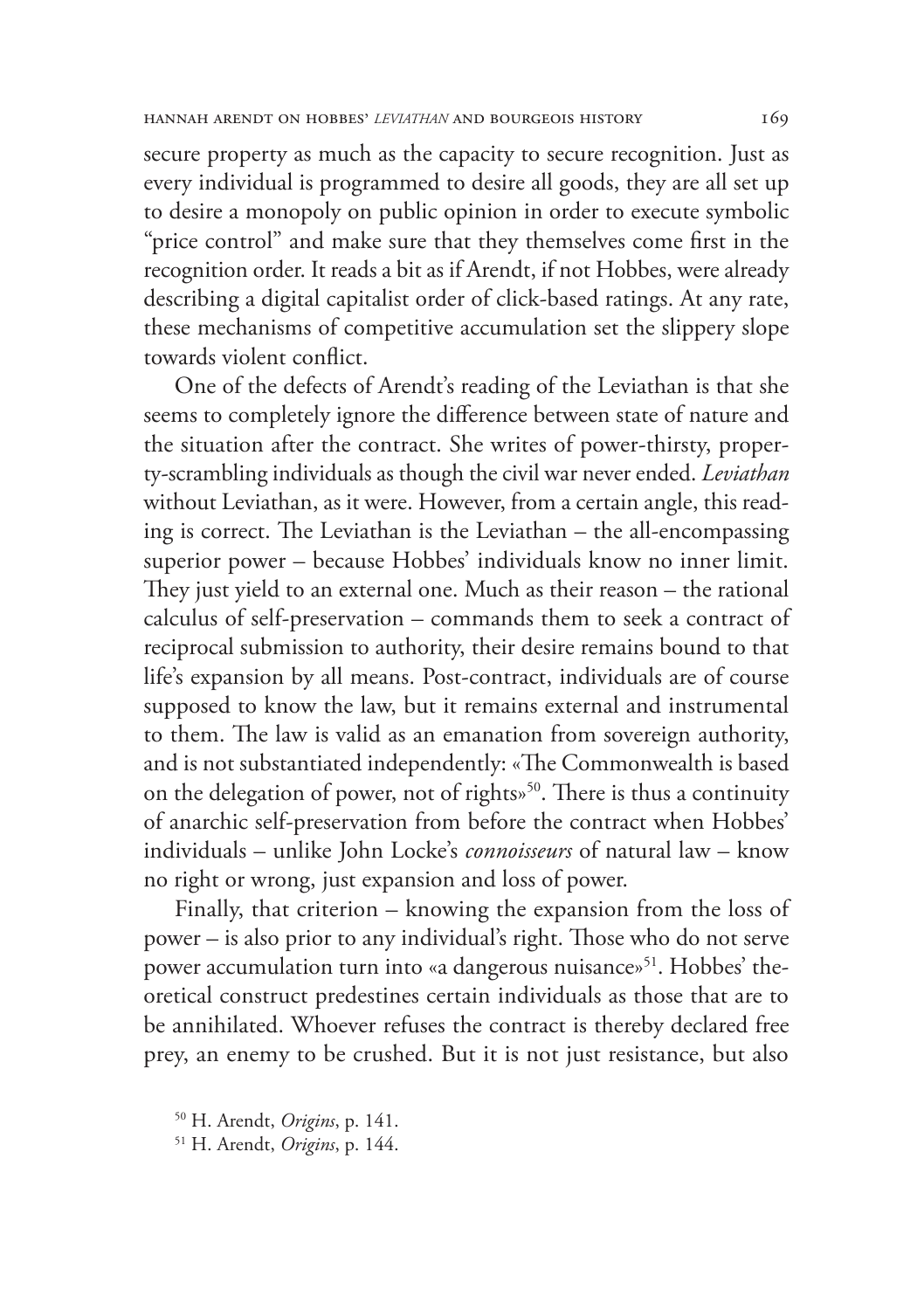secure property as much as the capacity to secure recognition. Just as every individual is programmed to desire all goods, they are all set up to desire a monopoly on public opinion in order to execute symbolic "price control" and make sure that they themselves come first in the recognition order. It reads a bit as if Arendt, if not Hobbes, were already describing a digital capitalist order of click-based ratings. At any rate, these mechanisms of competitive accumulation set the slippery slope towards violent conflict.

One of the defects of Arendt's reading of the Leviathan is that she seems to completely ignore the difference between state of nature and the situation after the contract. She writes of power-thirsty, property-scrambling individuals as though the civil war never ended. *Leviathan* without Leviathan, as it were. However, from a certain angle, this reading is correct. The Leviathan is the Leviathan – the all-encompassing superior power – because Hobbes' individuals know no inner limit. They just yield to an external one. Much as their reason – the rational calculus of self-preservation – commands them to seek a contract of reciprocal submission to authority, their desire remains bound to that life's expansion by all means. Post-contract, individuals are of course supposed to know the law, but it remains external and instrumental to them. The law is valid as an emanation from sovereign authority, and is not substantiated independently: «The Commonwealth is based on the delegation of power, not of rights<sup>50</sup>. There is thus a continuity of anarchic self-preservation from before the contract when Hobbes' individuals – unlike John Locke's *connoisseurs* of natural law – know no right or wrong, just expansion and loss of power.

Finally, that criterion – knowing the expansion from the loss of power – is also prior to any individual's right. Those who do not serve power accumulation turn into «a dangerous nuisance»<sup>51</sup>. Hobbes' theoretical construct predestines certain individuals as those that are to be annihilated. Whoever refuses the contract is thereby declared free prey, an enemy to be crushed. But it is not just resistance, but also

<sup>50</sup> H. Arendt, *Origins*, p. 141.

<sup>51</sup> H. Arendt, *Origins*, p. 144.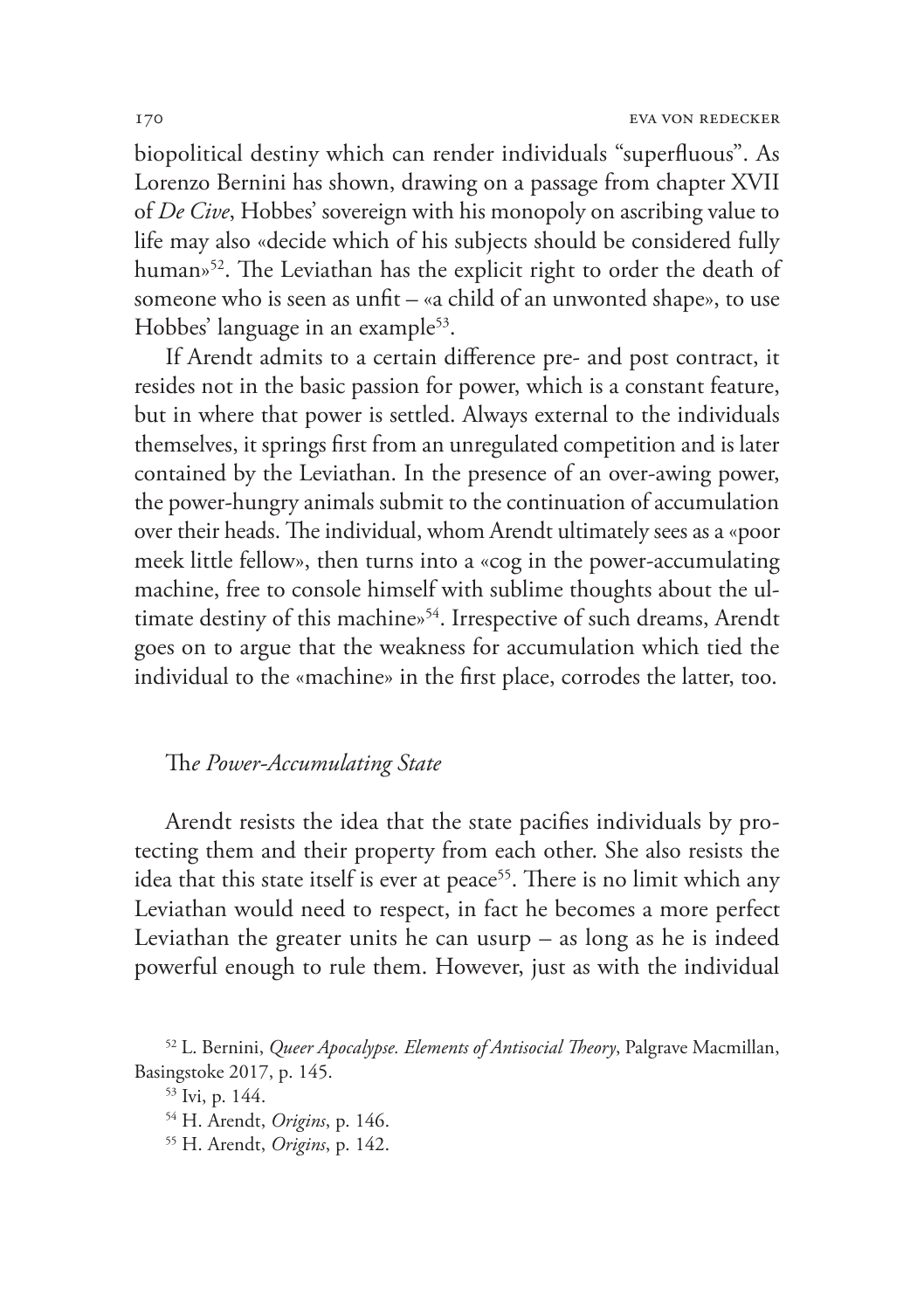biopolitical destiny which can render individuals "superfluous". As Lorenzo Bernini has shown, drawing on a passage from chapter XVII of *De Cive*, Hobbes' sovereign with his monopoly on ascribing value to life may also «decide which of his subjects should be considered fully human»<sup>52</sup>. The Leviathan has the explicit right to order the death of someone who is seen as unfit – «a child of an unwonted shape», to use Hobbes' language in an example<sup>53</sup>.

If Arendt admits to a certain difference pre- and post contract, it resides not in the basic passion for power, which is a constant feature, but in where that power is settled. Always external to the individuals themselves, it springs first from an unregulated competition and is later contained by the Leviathan. In the presence of an over-awing power, the power-hungry animals submit to the continuation of accumulation over their heads. The individual, whom Arendt ultimately sees as a «poor meek little fellow», then turns into a «cog in the power-accumulating machine, free to console himself with sublime thoughts about the ultimate destiny of this machine»<sup>54</sup>. Irrespective of such dreams, Arendt goes on to argue that the weakness for accumulation which tied the individual to the «machine» in the first place, corrodes the latter, too.

## Th*e Power-Accumulating State*

Arendt resists the idea that the state pacifies individuals by protecting them and their property from each other. She also resists the idea that this state itself is ever at peace<sup>55</sup>. There is no limit which any Leviathan would need to respect, in fact he becomes a more perfect Leviathan the greater units he can usurp  $-$  as long as he is indeed powerful enough to rule them. However, just as with the individual

53 Ivi, p. 144.

<sup>52</sup> L. Bernini, *Queer Apocalypse. Elements of Antisocial Theory*, Palgrave Macmillan, Basingstoke 2017, p. 145.

<sup>54</sup> H. Arendt, *Origins*, p. 146.

<sup>55</sup> H. Arendt, *Origins*, p. 142.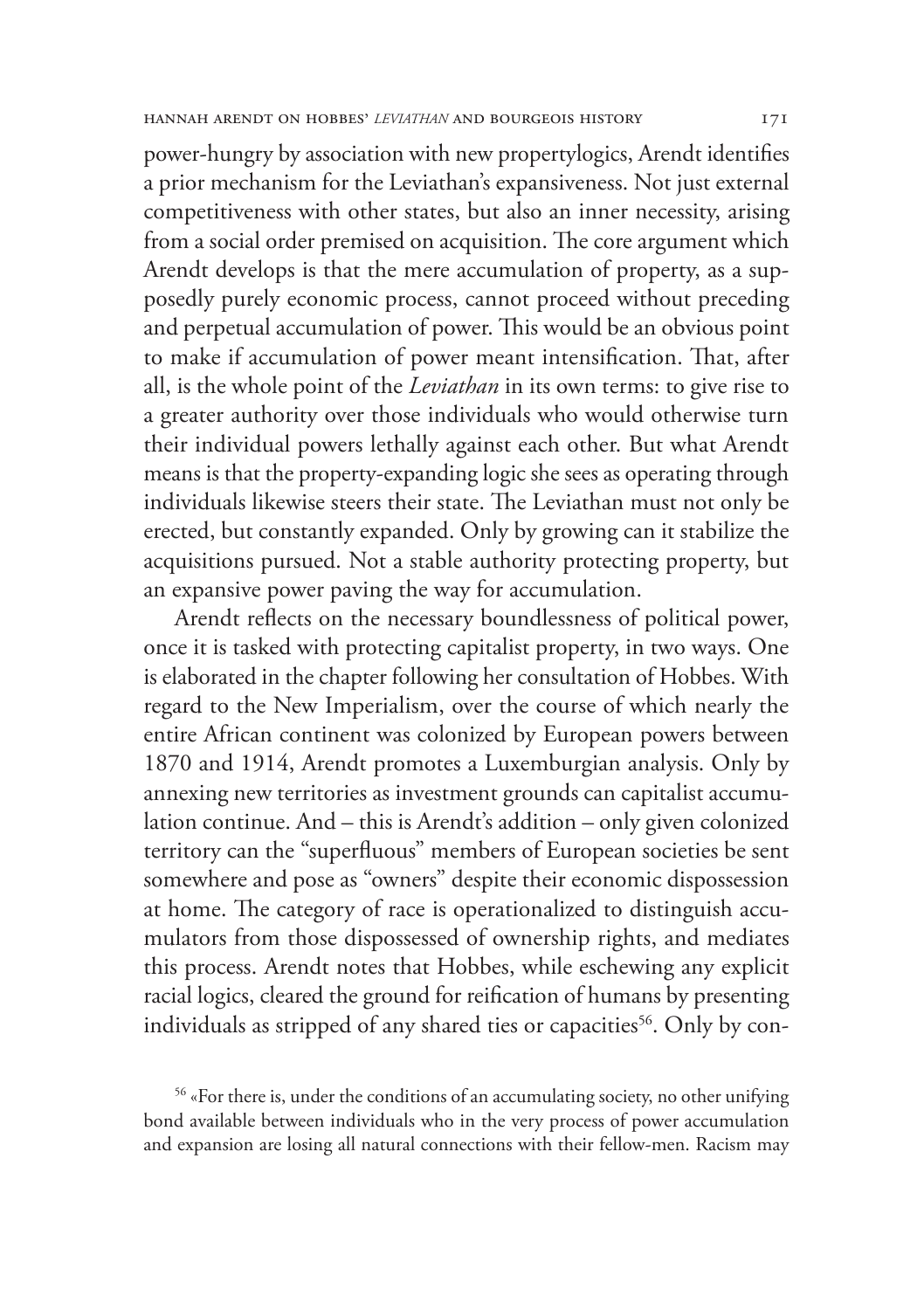power-hungry by association with new propertylogics, Arendt identifies a prior mechanism for the Leviathan's expansiveness. Not just external competitiveness with other states, but also an inner necessity, arising from a social order premised on acquisition. The core argument which Arendt develops is that the mere accumulation of property, as a supposedly purely economic process, cannot proceed without preceding and perpetual accumulation of power. This would be an obvious point to make if accumulation of power meant intensification. That, after all, is the whole point of the *Leviathan* in its own terms: to give rise to a greater authority over those individuals who would otherwise turn their individual powers lethally against each other. But what Arendt means is that the property-expanding logic she sees as operating through individuals likewise steers their state. The Leviathan must not only be erected, but constantly expanded. Only by growing can it stabilize the acquisitions pursued. Not a stable authority protecting property, but an expansive power paving the way for accumulation.

Arendt reflects on the necessary boundlessness of political power, once it is tasked with protecting capitalist property, in two ways. One is elaborated in the chapter following her consultation of Hobbes. With regard to the New Imperialism, over the course of which nearly the entire African continent was colonized by European powers between 1870 and 1914, Arendt promotes a Luxemburgian analysis. Only by annexing new territories as investment grounds can capitalist accumulation continue. And – this is Arendt's addition – only given colonized territory can the "superfluous" members of European societies be sent somewhere and pose as "owners" despite their economic dispossession at home. The category of race is operationalized to distinguish accumulators from those dispossessed of ownership rights, and mediates this process. Arendt notes that Hobbes, while eschewing any explicit racial logics, cleared the ground for reification of humans by presenting individuals as stripped of any shared ties or capacities<sup>56</sup>. Only by con-

56 «For there is, under the conditions of an accumulating society, no other unifying bond available between individuals who in the very process of power accumulation and expansion are losing all natural connections with their fellow-men. Racism may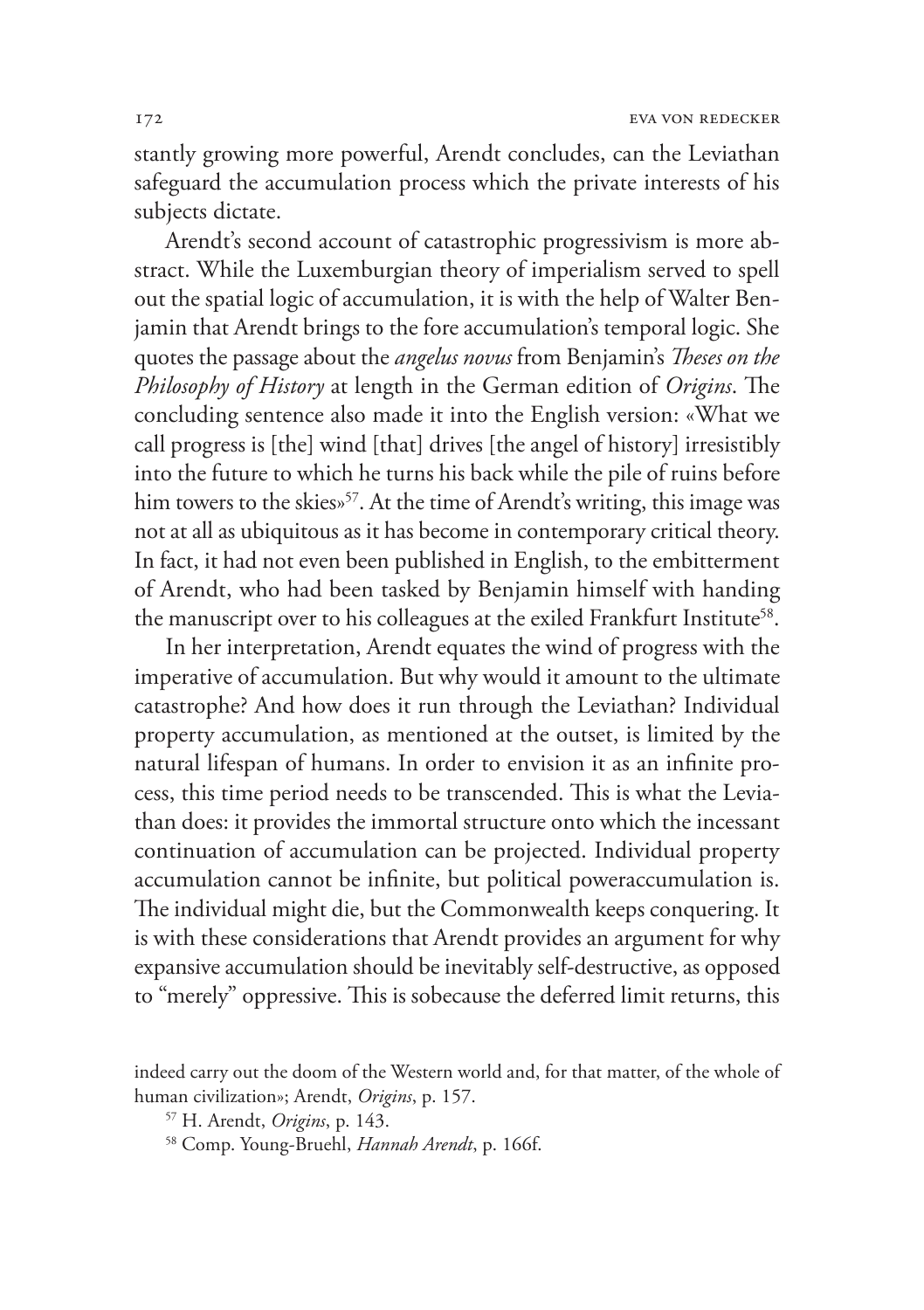stantly growing more powerful, Arendt concludes, can the Leviathan safeguard the accumulation process which the private interests of his subjects dictate.

Arendt's second account of catastrophic progressivism is more abstract. While the Luxemburgian theory of imperialism served to spell out the spatial logic of accumulation, it is with the help of Walter Benjamin that Arendt brings to the fore accumulation's temporal logic. She quotes the passage about the *angelus novus* from Benjamin's *Theses on the Philosophy of History* at length in the German edition of *Origins*. The concluding sentence also made it into the English version: «What we call progress is [the] wind [that] drives [the angel of history] irresistibly into the future to which he turns his back while the pile of ruins before him towers to the skies»<sup>57</sup>. At the time of Arendt's writing, this image was not at all as ubiquitous as it has become in contemporary critical theory. In fact, it had not even been published in English, to the embitterment of Arendt, who had been tasked by Benjamin himself with handing the manuscript over to his colleagues at the exiled Frankfurt Institute<sup>58</sup>.

In her interpretation, Arendt equates the wind of progress with the imperative of accumulation. But why would it amount to the ultimate catastrophe? And how does it run through the Leviathan? Individual property accumulation, as mentioned at the outset, is limited by the natural lifespan of humans. In order to envision it as an infinite process, this time period needs to be transcended. This is what the Leviathan does: it provides the immortal structure onto which the incessant continuation of accumulation can be projected. Individual property accumulation cannot be infinite, but political poweraccumulation is. The individual might die, but the Commonwealth keeps conquering. It is with these considerations that Arendt provides an argument for why expansive accumulation should be inevitably self-destructive, as opposed to "merely" oppressive. This is sobecause the deferred limit returns, this

indeed carry out the doom of the Western world and, for that matter, of the whole of human civilization»; Arendt, *Origins*, p. 157.

<sup>57</sup> H. Arendt, *Origins*, p. 143.

<sup>58</sup> Comp. Young-Bruehl, *Hannah Arendt*, p. 166f.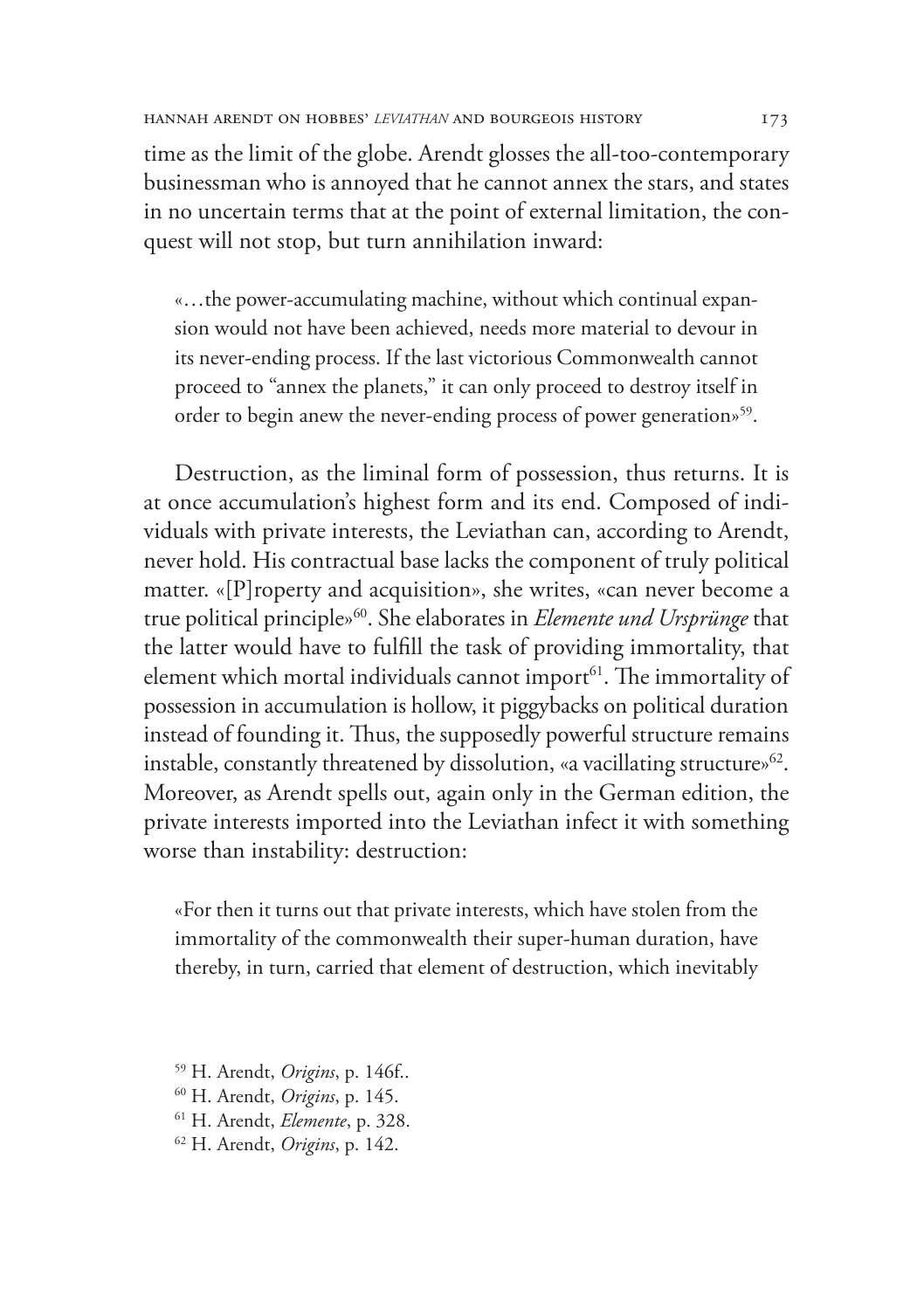time as the limit of the globe. Arendt glosses the all-too-contemporary businessman who is annoyed that he cannot annex the stars, and states in no uncertain terms that at the point of external limitation, the conquest will not stop, but turn annihilation inward:

«…the power-accumulating machine, without which continual expansion would not have been achieved, needs more material to devour in its never-ending process. If the last victorious Commonwealth cannot proceed to "annex the planets," it can only proceed to destroy itself in order to begin anew the never-ending process of power generation»<sup>59</sup>.

Destruction, as the liminal form of possession, thus returns. It is at once accumulation's highest form and its end. Composed of individuals with private interests, the Leviathan can, according to Arendt, never hold. His contractual base lacks the component of truly political matter. «[P]roperty and acquisition», she writes, «can never become a true political principle»60. She elaborates in *Elemente und Ursprünge* that the latter would have to fulfill the task of providing immortality, that element which mortal individuals cannot import<sup>61</sup>. The immortality of possession in accumulation is hollow, it piggybacks on political duration instead of founding it. Thus, the supposedly powerful structure remains instable, constantly threatened by dissolution, «a vacillating structure»<sup>62</sup>. Moreover, as Arendt spells out, again only in the German edition, the private interests imported into the Leviathan infect it with something worse than instability: destruction:

«For then it turns out that private interests, which have stolen from the immortality of the commonwealth their super-human duration, have thereby, in turn, carried that element of destruction, which inevitably

- 59 H. Arendt, *Origins*, p. 146f..
- 
- 60 H. Arendt, *Origins*, p. 145. 61 H. Arendt, *Elemente*, p. 328.
- 62 H. Arendt, *Origins*, p. 142.